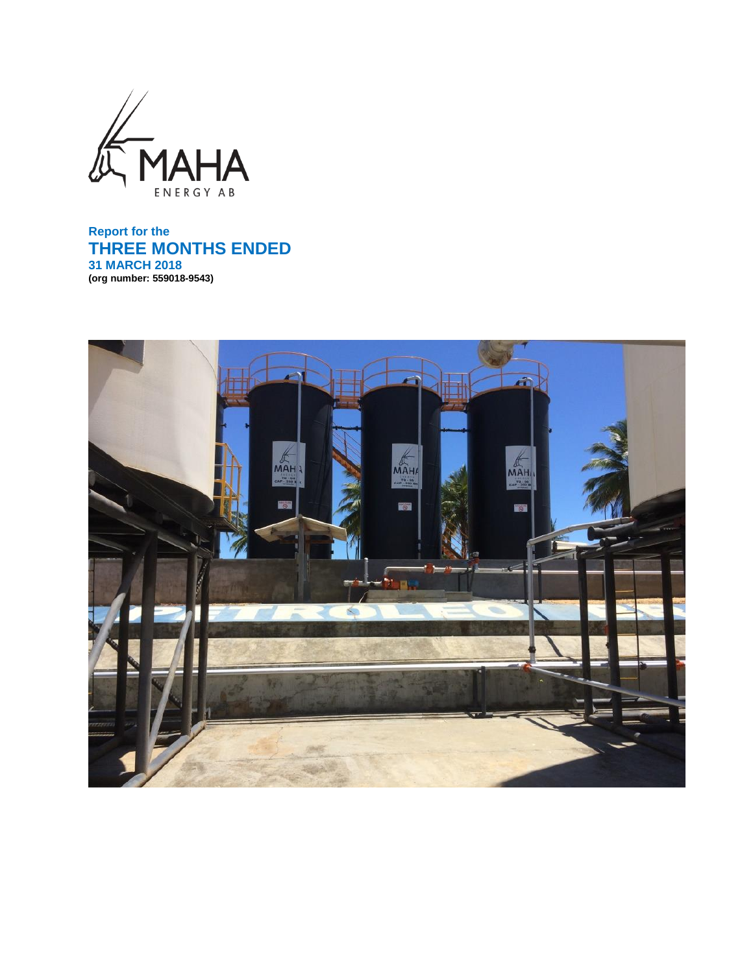

**Report for the THREE MONTHS ENDED 31 MARCH 2018 (org number: 559018-9543)**

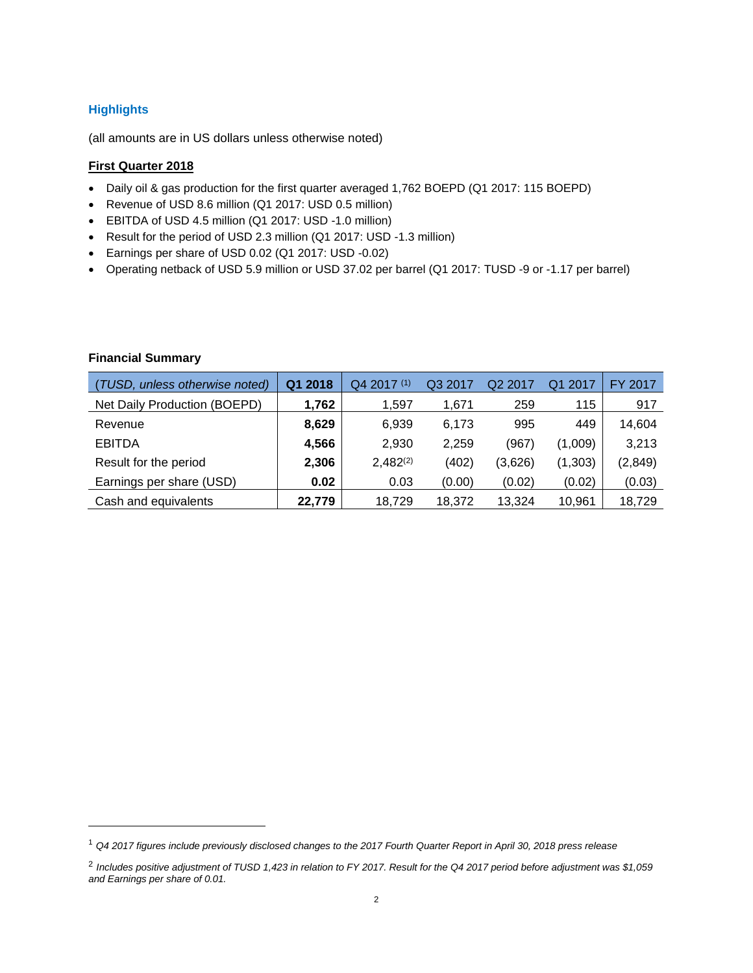# **Highlights**

(all amounts are in US dollars unless otherwise noted)

# **First Quarter 2018**

- Daily oil & gas production for the first quarter averaged 1,762 BOEPD (Q1 2017: 115 BOEPD)
- Revenue of USD 8.6 million (Q1 2017: USD 0.5 million)
- EBITDA of USD 4.5 million (Q1 2017: USD -1.0 million)
- Result for the period of USD 2.3 million (Q1 2017: USD -1.3 million)
- Earnings per share of USD 0.02 (Q1 2017: USD -0.02)
- Operating netback of USD 5.9 million or USD 37.02 per barrel (Q1 2017: TUSD -9 or -1.17 per barrel)

# **Financial Summary**

l

| (TUSD, unless otherwise noted) | Q1 2018 | $Q42017^{(1)}$ | Q3 2017 | Q <sub>2</sub> 2017 | Q1 2017  | FY 2017  |
|--------------------------------|---------|----------------|---------|---------------------|----------|----------|
| Net Daily Production (BOEPD)   | 1,762   | 1,597          | 1,671   | 259                 | 115      | 917      |
| Revenue                        | 8,629   | 6,939          | 6,173   | 995                 | 449      | 14,604   |
| <b>EBITDA</b>                  | 4,566   | 2,930          | 2,259   | (967)               | (1,009)  | 3,213    |
| Result for the period          | 2,306   | $2,482^{(2)}$  | (402)   | (3,626)             | (1, 303) | (2, 849) |
| Earnings per share (USD)       | 0.02    | 0.03           | (0.00)  | (0.02)              | (0.02)   | (0.03)   |
| Cash and equivalents           | 22,779  | 18,729         | 18,372  | 13.324              | 10,961   | 18,729   |

<sup>1</sup> *Q4 2017 figures include previously disclosed changes to the 2017 Fourth Quarter Report in April 30, 2018 press release*

<sup>2</sup> *Includes positive adjustment of TUSD 1,423 in relation to FY 2017. Result for the Q4 2017 period before adjustment was \$1,059 and Earnings per share of 0.01.*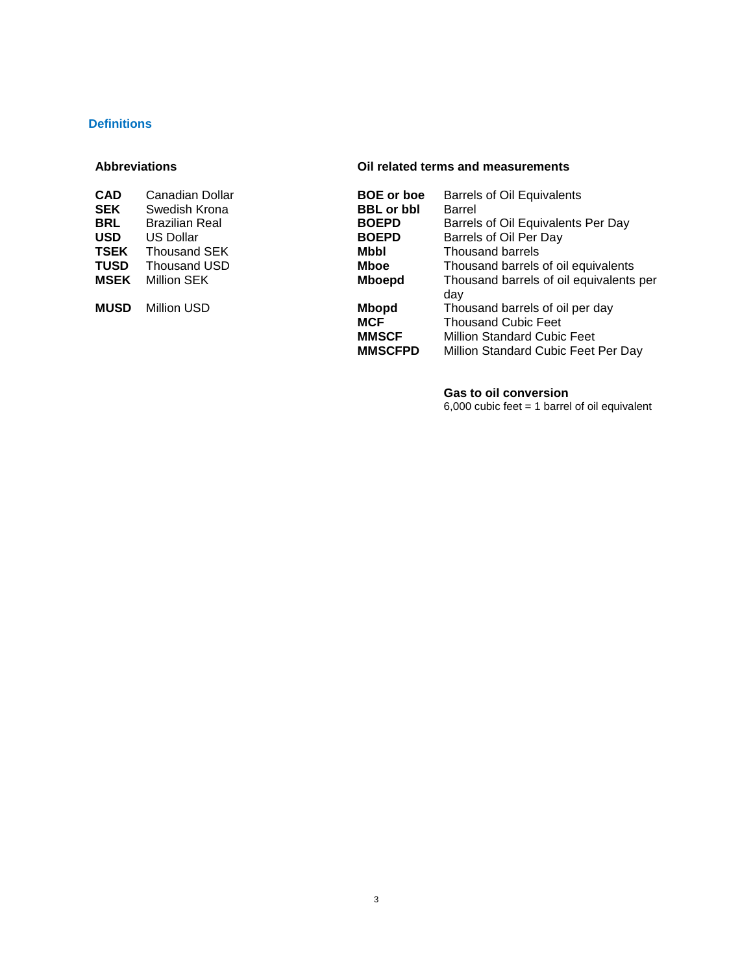# **Definitions**

| <b>CAD</b>  | Canadian Dollar       | <b>BOE</b> or boe | <b>Barrel</b> |
|-------------|-----------------------|-------------------|---------------|
| <b>SEK</b>  | Swedish Krona         | <b>BBL</b> or bbl | <b>Barrel</b> |
| <b>BRL</b>  | <b>Brazilian Real</b> | <b>BOEPD</b>      | <b>Barrel</b> |
| <b>USD</b>  | <b>US Dollar</b>      | <b>BOEPD</b>      | <b>Barrel</b> |
| <b>TSEK</b> | Thousand SEK          | Mbbl              | Thous         |
| <b>TUSD</b> | Thousand USD          | <b>Mboe</b>       | Thous         |
| MSEK        | Million SEK           | <b>Mboepd</b>     | Thous         |
|             |                       |                   | day           |
| <b>MUSD</b> | <b>Million USD</b>    | <b>Mbopd</b>      | <b>Thous</b>  |
|             |                       |                   |               |

#### **Abbreviations Oil related terms and measurements**

| CAD         | Canadian Dollar       | <b>BOE</b> or boe                                            | <b>Barrels of Oil Equivalents</b>                                                                                                          |
|-------------|-----------------------|--------------------------------------------------------------|--------------------------------------------------------------------------------------------------------------------------------------------|
| SEK         | Swedish Krona         | <b>BBL</b> or bbl                                            | Barrel                                                                                                                                     |
| BRL         | <b>Brazilian Real</b> | <b>BOEPD</b>                                                 | Barrels of Oil Equivalents Per Day                                                                                                         |
| USD         | <b>US Dollar</b>      | <b>BOEPD</b>                                                 | Barrels of Oil Per Day                                                                                                                     |
| TSEK        | <b>Thousand SEK</b>   | Mbbl                                                         | Thousand barrels                                                                                                                           |
| TUSD        | Thousand USD          | Mboe                                                         | Thousand barrels of oil equivalents                                                                                                        |
| MSEK        | Million SEK           | <b>Mboepd</b>                                                | Thousand barrels of oil equivalents per<br>day                                                                                             |
| <b>MUSD</b> | Million USD           | <b>Mbopd</b><br><b>MCF</b><br><b>MMSCF</b><br><b>MMSCFPD</b> | Thousand barrels of oil per day<br><b>Thousand Cubic Feet</b><br><b>Million Standard Cubic Feet</b><br>Million Standard Cubic Feet Per Day |
|             |                       |                                                              |                                                                                                                                            |

#### **Gas to oil conversion**

6,000 cubic feet = 1 barrel of oil equivalent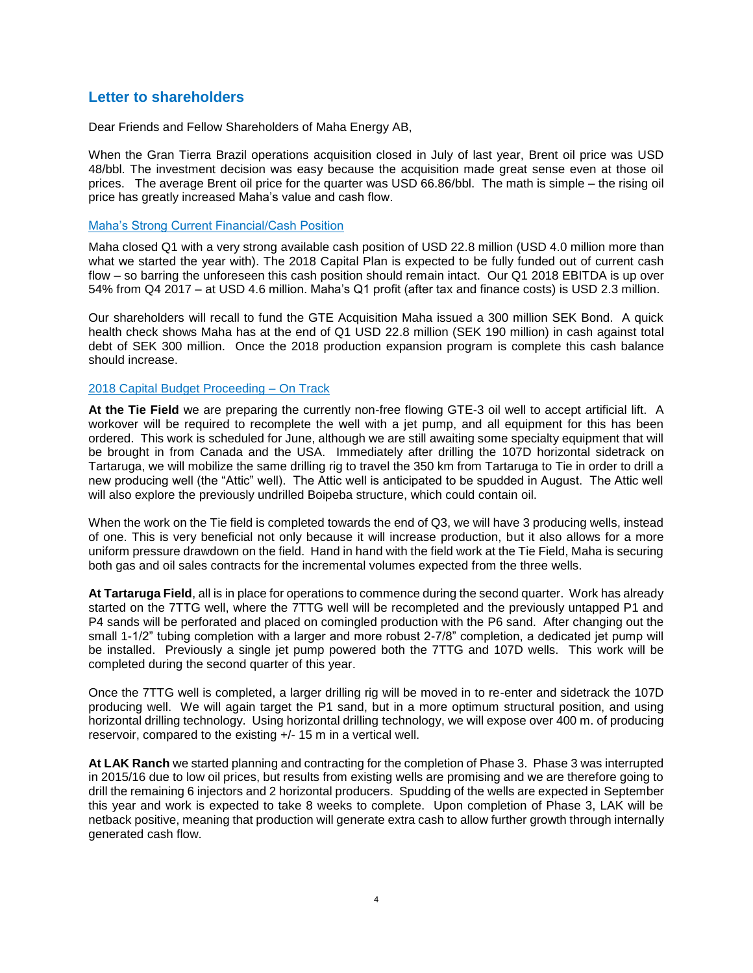# **Letter to shareholders**

Dear Friends and Fellow Shareholders of Maha Energy AB,

When the Gran Tierra Brazil operations acquisition closed in July of last year, Brent oil price was USD 48/bbl. The investment decision was easy because the acquisition made great sense even at those oil prices. The average Brent oil price for the quarter was USD 66.86/bbl. The math is simple – the rising oil price has greatly increased Maha's value and cash flow.

# Maha's Strong Current Financial/Cash Position

Maha closed Q1 with a very strong available cash position of USD 22.8 million (USD 4.0 million more than what we started the year with). The 2018 Capital Plan is expected to be fully funded out of current cash flow – so barring the unforeseen this cash position should remain intact. Our Q1 2018 EBITDA is up over 54% from Q4 2017 – at USD 4.6 million. Maha's Q1 profit (after tax and finance costs) is USD 2.3 million.

Our shareholders will recall to fund the GTE Acquisition Maha issued a 300 million SEK Bond. A quick health check shows Maha has at the end of Q1 USD 22.8 million (SEK 190 million) in cash against total debt of SEK 300 million. Once the 2018 production expansion program is complete this cash balance should increase.

# 2018 Capital Budget Proceeding – On Track

**At the Tie Field** we are preparing the currently non-free flowing GTE-3 oil well to accept artificial lift. A workover will be required to recomplete the well with a jet pump, and all equipment for this has been ordered. This work is scheduled for June, although we are still awaiting some specialty equipment that will be brought in from Canada and the USA. Immediately after drilling the 107D horizontal sidetrack on Tartaruga, we will mobilize the same drilling rig to travel the 350 km from Tartaruga to Tie in order to drill a new producing well (the "Attic" well). The Attic well is anticipated to be spudded in August. The Attic well will also explore the previously undrilled Boipeba structure, which could contain oil.

When the work on the Tie field is completed towards the end of Q3, we will have 3 producing wells, instead of one. This is very beneficial not only because it will increase production, but it also allows for a more uniform pressure drawdown on the field. Hand in hand with the field work at the Tie Field, Maha is securing both gas and oil sales contracts for the incremental volumes expected from the three wells.

**At Tartaruga Field**, all is in place for operations to commence during the second quarter. Work has already started on the 7TTG well, where the 7TTG well will be recompleted and the previously untapped P1 and P4 sands will be perforated and placed on comingled production with the P6 sand. After changing out the small 1-1/2" tubing completion with a larger and more robust 2-7/8" completion, a dedicated jet pump will be installed. Previously a single jet pump powered both the 7TTG and 107D wells. This work will be completed during the second quarter of this year.

Once the 7TTG well is completed, a larger drilling rig will be moved in to re-enter and sidetrack the 107D producing well. We will again target the P1 sand, but in a more optimum structural position, and using horizontal drilling technology. Using horizontal drilling technology, we will expose over 400 m. of producing reservoir, compared to the existing +/- 15 m in a vertical well.

**At LAK Ranch** we started planning and contracting for the completion of Phase 3. Phase 3 was interrupted in 2015/16 due to low oil prices, but results from existing wells are promising and we are therefore going to drill the remaining 6 injectors and 2 horizontal producers. Spudding of the wells are expected in September this year and work is expected to take 8 weeks to complete. Upon completion of Phase 3, LAK will be netback positive, meaning that production will generate extra cash to allow further growth through internally generated cash flow.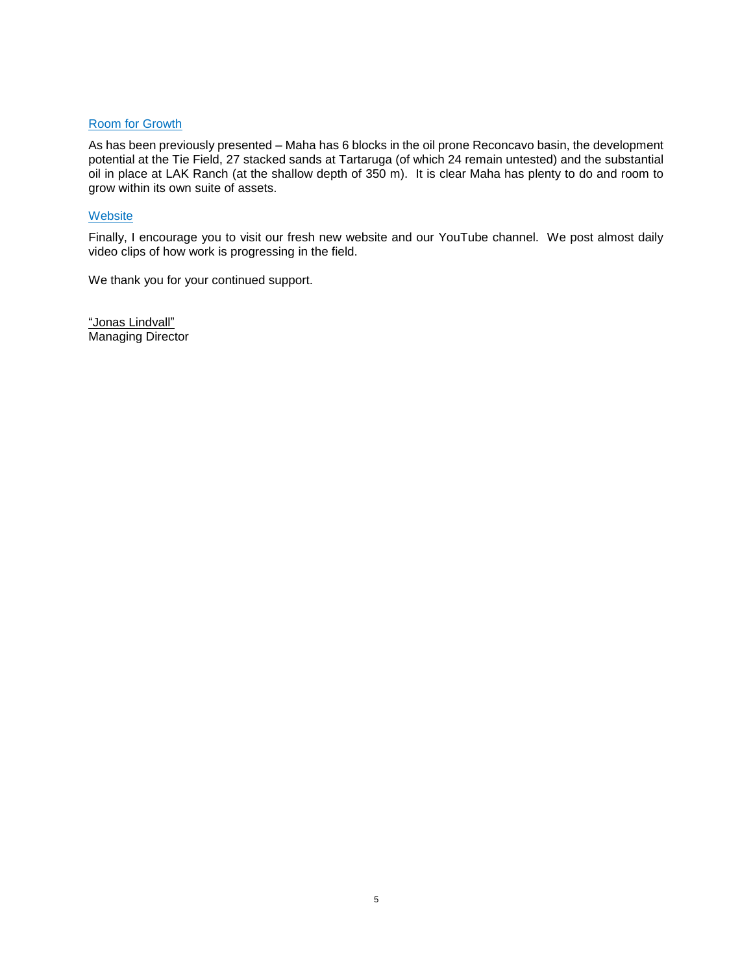# Room for Growth

As has been previously presented – Maha has 6 blocks in the oil prone Reconcavo basin, the development potential at the Tie Field, 27 stacked sands at Tartaruga (of which 24 remain untested) and the substantial oil in place at LAK Ranch (at the shallow depth of 350 m). It is clear Maha has plenty to do and room to grow within its own suite of assets.

# **Website**

Finally, I encourage you to visit our fresh new website and our YouTube channel. We post almost daily video clips of how work is progressing in the field.

We thank you for your continued support.

"Jonas Lindvall" Managing Director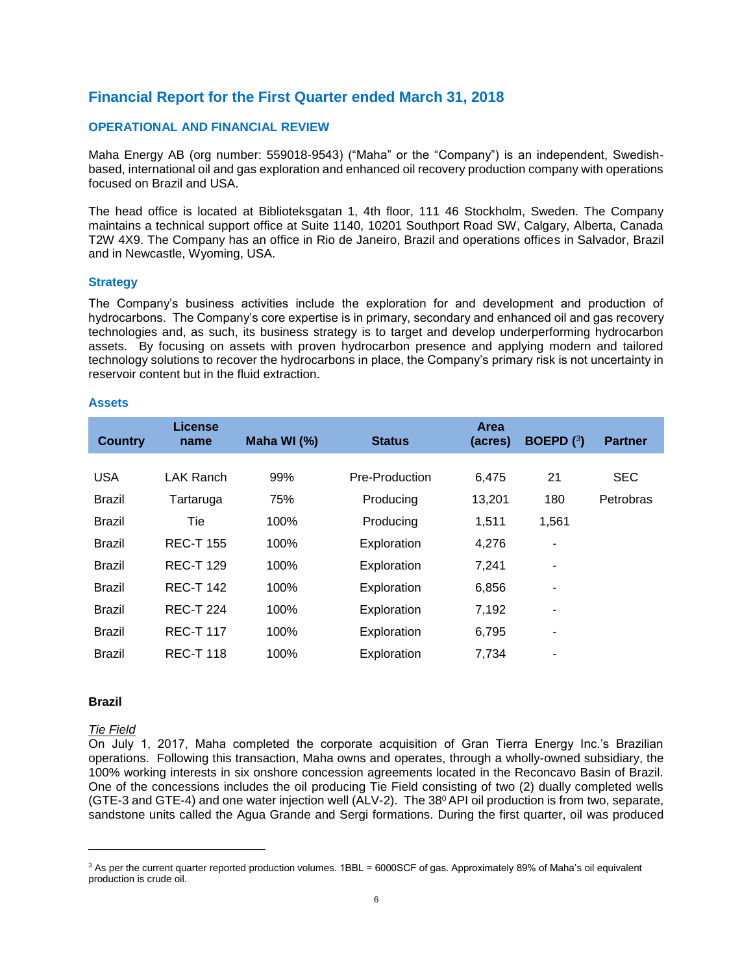# **Financial Report for the First Quarter ended March 31, 2018**

#### **OPERATIONAL AND FINANCIAL REVIEW**

Maha Energy AB (org number: 559018-9543) ("Maha" or the "Company") is an independent, Swedishbased, international oil and gas exploration and enhanced oil recovery production company with operations focused on Brazil and USA.

The head office is located at Biblioteksgatan 1, 4th floor, 111 46 Stockholm, Sweden. The Company maintains a technical support office at Suite 1140, 10201 Southport Road SW, Calgary, Alberta, Canada T2W 4X9. The Company has an office in Rio de Janeiro, Brazil and operations offices in Salvador, Brazil and in Newcastle, Wyoming, USA.

#### **Strategy**

The Company's business activities include the exploration for and development and production of hydrocarbons. The Company's core expertise is in primary, secondary and enhanced oil and gas recovery technologies and, as such, its business strategy is to target and develop underperforming hydrocarbon assets. By focusing on assets with proven hydrocarbon presence and applying modern and tailored technology solutions to recover the hydrocarbons in place, the Company's primary risk is not uncertainty in reservoir content but in the fluid extraction.

#### **Assets**

| <b>Country</b> | <b>License</b><br>name | Maha WI (%) | <b>Status</b>  | <b>Area</b><br>(acres) | <b>BOEPD</b> $(3)$ | <b>Partner</b> |
|----------------|------------------------|-------------|----------------|------------------------|--------------------|----------------|
|                |                        |             |                |                        |                    |                |
| <b>USA</b>     | LAK Ranch              | 99%         | Pre-Production | 6,475                  | 21                 | <b>SEC</b>     |
| <b>Brazil</b>  | Tartaruga              | 75%         | Producing      | 13,201                 | 180                | Petrobras      |
| <b>Brazil</b>  | Tie                    | 100%        | Producing      | 1,511                  | 1,561              |                |
| <b>Brazil</b>  | <b>REC-T 155</b>       | 100%        | Exploration    | 4,276                  | ۰                  |                |
| <b>Brazil</b>  | <b>REC-T 129</b>       | 100%        | Exploration    | 7,241                  | ۰                  |                |
| <b>Brazil</b>  | <b>REC-T 142</b>       | 100%        | Exploration    | 6,856                  | ۰                  |                |
| <b>Brazil</b>  | <b>REC-T 224</b>       | 100%        | Exploration    | 7,192                  |                    |                |
| <b>Brazil</b>  | <b>REC-T 117</b>       | 100%        | Exploration    | 6,795                  | ۰                  |                |
| <b>Brazil</b>  | <b>REC-T 118</b>       | 100%        | Exploration    | 7,734                  | ۰                  |                |

#### **Brazil**

 $\overline{a}$ 

#### *Tie Field*

On July 1, 2017, Maha completed the corporate acquisition of Gran Tierra Energy Inc.'s Brazilian operations. Following this transaction, Maha owns and operates, through a wholly-owned subsidiary, the 100% working interests in six onshore concession agreements located in the Reconcavo Basin of Brazil. One of the concessions includes the oil producing Tie Field consisting of two (2) dually completed wells (GTE-3 and GTE-4) and one water injection well (ALV-2). The  $38^{\circ}$  API oil production is from two, separate, sandstone units called the Agua Grande and Sergi formations. During the first quarter, oil was produced

<sup>&</sup>lt;sup>3</sup> As per the current quarter reported production volumes. 1BBL = 6000SCF of gas. Approximately 89% of Maha's oil equivalent production is crude oil.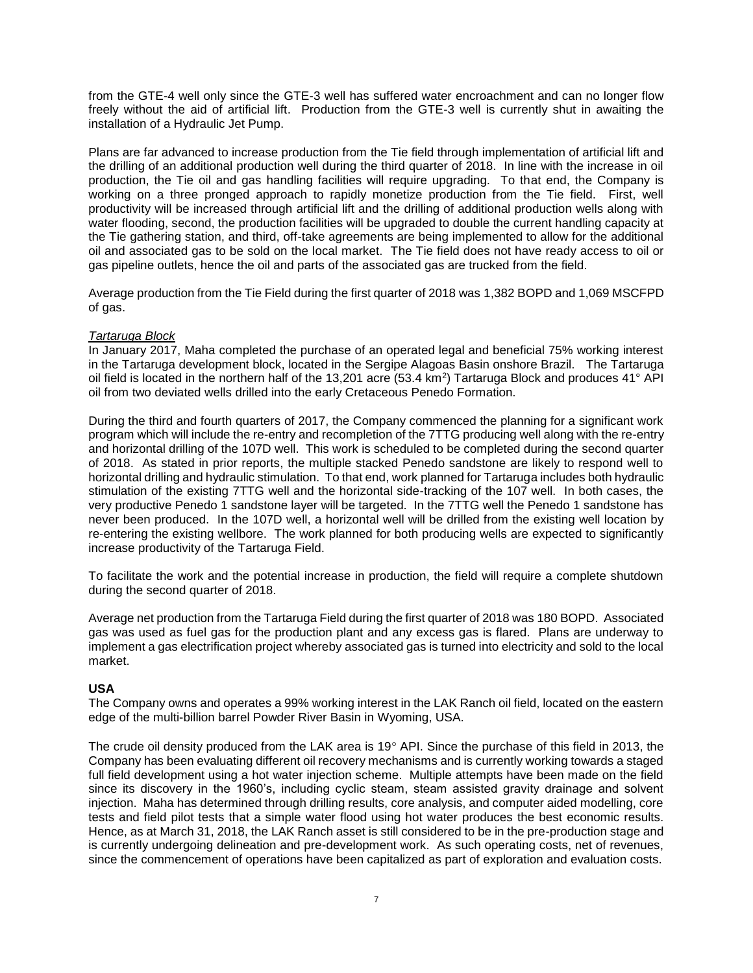from the GTE-4 well only since the GTE-3 well has suffered water encroachment and can no longer flow freely without the aid of artificial lift. Production from the GTE-3 well is currently shut in awaiting the installation of a Hydraulic Jet Pump.

Plans are far advanced to increase production from the Tie field through implementation of artificial lift and the drilling of an additional production well during the third quarter of 2018. In line with the increase in oil production, the Tie oil and gas handling facilities will require upgrading. To that end, the Company is working on a three pronged approach to rapidly monetize production from the Tie field. First, well productivity will be increased through artificial lift and the drilling of additional production wells along with water flooding, second, the production facilities will be upgraded to double the current handling capacity at the Tie gathering station, and third, off-take agreements are being implemented to allow for the additional oil and associated gas to be sold on the local market. The Tie field does not have ready access to oil or gas pipeline outlets, hence the oil and parts of the associated gas are trucked from the field.

Average production from the Tie Field during the first quarter of 2018 was 1,382 BOPD and 1,069 MSCFPD of gas.

# *Tartaruga Block*

In January 2017, Maha completed the purchase of an operated legal and beneficial 75% working interest in the Tartaruga development block, located in the Sergipe Alagoas Basin onshore Brazil. The Tartaruga oil field is located in the northern half of the 13,201 acre (53.4 km<sup>2</sup>) Tartaruga Block and produces 41° API oil from two deviated wells drilled into the early Cretaceous Penedo Formation.

During the third and fourth quarters of 2017, the Company commenced the planning for a significant work program which will include the re-entry and recompletion of the 7TTG producing well along with the re-entry and horizontal drilling of the 107D well. This work is scheduled to be completed during the second quarter of 2018. As stated in prior reports, the multiple stacked Penedo sandstone are likely to respond well to horizontal drilling and hydraulic stimulation. To that end, work planned for Tartaruga includes both hydraulic stimulation of the existing 7TTG well and the horizontal side-tracking of the 107 well. In both cases, the very productive Penedo 1 sandstone layer will be targeted. In the 7TTG well the Penedo 1 sandstone has never been produced. In the 107D well, a horizontal well will be drilled from the existing well location by re-entering the existing wellbore. The work planned for both producing wells are expected to significantly increase productivity of the Tartaruga Field.

To facilitate the work and the potential increase in production, the field will require a complete shutdown during the second quarter of 2018.

Average net production from the Tartaruga Field during the first quarter of 2018 was 180 BOPD. Associated gas was used as fuel gas for the production plant and any excess gas is flared. Plans are underway to implement a gas electrification project whereby associated gas is turned into electricity and sold to the local market.

# **USA**

The Company owns and operates a 99% working interest in the LAK Ranch oil field, located on the eastern edge of the multi-billion barrel Powder River Basin in Wyoming, USA.

The crude oil density produced from the LAK area is 19 $^{\circ}$  API. Since the purchase of this field in 2013, the Company has been evaluating different oil recovery mechanisms and is currently working towards a staged full field development using a hot water injection scheme. Multiple attempts have been made on the field since its discovery in the 1960's, including cyclic steam, steam assisted gravity drainage and solvent injection. Maha has determined through drilling results, core analysis, and computer aided modelling, core tests and field pilot tests that a simple water flood using hot water produces the best economic results. Hence, as at March 31, 2018, the LAK Ranch asset is still considered to be in the pre-production stage and is currently undergoing delineation and pre-development work. As such operating costs, net of revenues, since the commencement of operations have been capitalized as part of exploration and evaluation costs.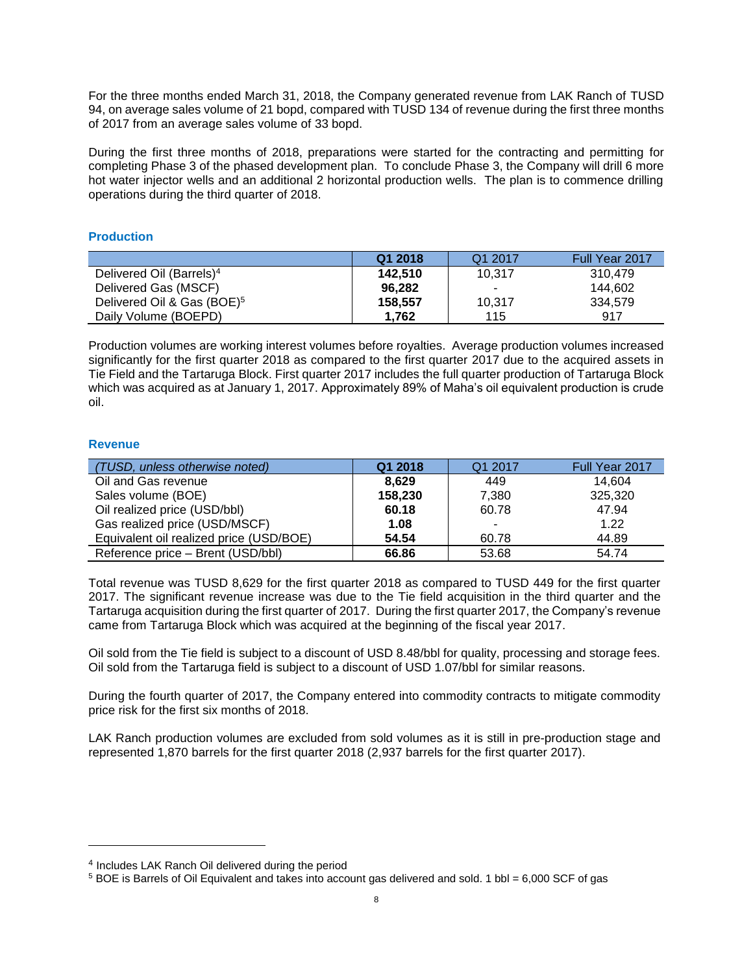For the three months ended March 31, 2018, the Company generated revenue from LAK Ranch of TUSD 94, on average sales volume of 21 bopd, compared with TUSD 134 of revenue during the first three months of 2017 from an average sales volume of 33 bopd.

During the first three months of 2018, preparations were started for the contracting and permitting for completing Phase 3 of the phased development plan. To conclude Phase 3, the Company will drill 6 more hot water injector wells and an additional 2 horizontal production wells. The plan is to commence drilling operations during the third quarter of 2018.

# **Production**

|                                        | Q1 2018 | Q1 2017                  | Full Year 2017 |
|----------------------------------------|---------|--------------------------|----------------|
| Delivered Oil (Barrels) <sup>4</sup>   | 142.510 | 10.317                   | 310.479        |
| Delivered Gas (MSCF)                   | 96.282  | $\overline{\phantom{a}}$ | 144.602        |
| Delivered Oil & Gas (BOE) <sup>5</sup> | 158.557 | 10.317                   | 334.579        |
| Daily Volume (BOEPD)                   | 1.762   | 115                      | 917            |

Production volumes are working interest volumes before royalties. Average production volumes increased significantly for the first quarter 2018 as compared to the first quarter 2017 due to the acquired assets in Tie Field and the Tartaruga Block. First quarter 2017 includes the full quarter production of Tartaruga Block which was acquired as at January 1, 2017. Approximately 89% of Maha's oil equivalent production is crude oil.

# **Revenue**

 $\overline{a}$ 

| (TUSD, unless otherwise noted)          | Q1 2018 | Q1 2017 | Full Year 2017 |
|-----------------------------------------|---------|---------|----------------|
| Oil and Gas revenue                     | 8.629   | 449     | 14.604         |
| Sales volume (BOE)                      | 158,230 | 7,380   | 325,320        |
| Oil realized price (USD/bbl)            | 60.18   | 60.78   | 47.94          |
| Gas realized price (USD/MSCF)           | 1.08    |         | 1.22           |
| Equivalent oil realized price (USD/BOE) | 54.54   | 60.78   | 44.89          |
| Reference price - Brent (USD/bbl)       | 66.86   | 53.68   | 54.74          |

Total revenue was TUSD 8,629 for the first quarter 2018 as compared to TUSD 449 for the first quarter 2017. The significant revenue increase was due to the Tie field acquisition in the third quarter and the Tartaruga acquisition during the first quarter of 2017. During the first quarter 2017, the Company's revenue came from Tartaruga Block which was acquired at the beginning of the fiscal year 2017.

Oil sold from the Tie field is subject to a discount of USD 8.48/bbl for quality, processing and storage fees. Oil sold from the Tartaruga field is subject to a discount of USD 1.07/bbl for similar reasons.

During the fourth quarter of 2017, the Company entered into commodity contracts to mitigate commodity price risk for the first six months of 2018.

LAK Ranch production volumes are excluded from sold volumes as it is still in pre-production stage and represented 1,870 barrels for the first quarter 2018 (2,937 barrels for the first quarter 2017).

<sup>4</sup> Includes LAK Ranch Oil delivered during the period

<sup>5</sup> BOE is Barrels of Oil Equivalent and takes into account gas delivered and sold. 1 bbl = 6,000 SCF of gas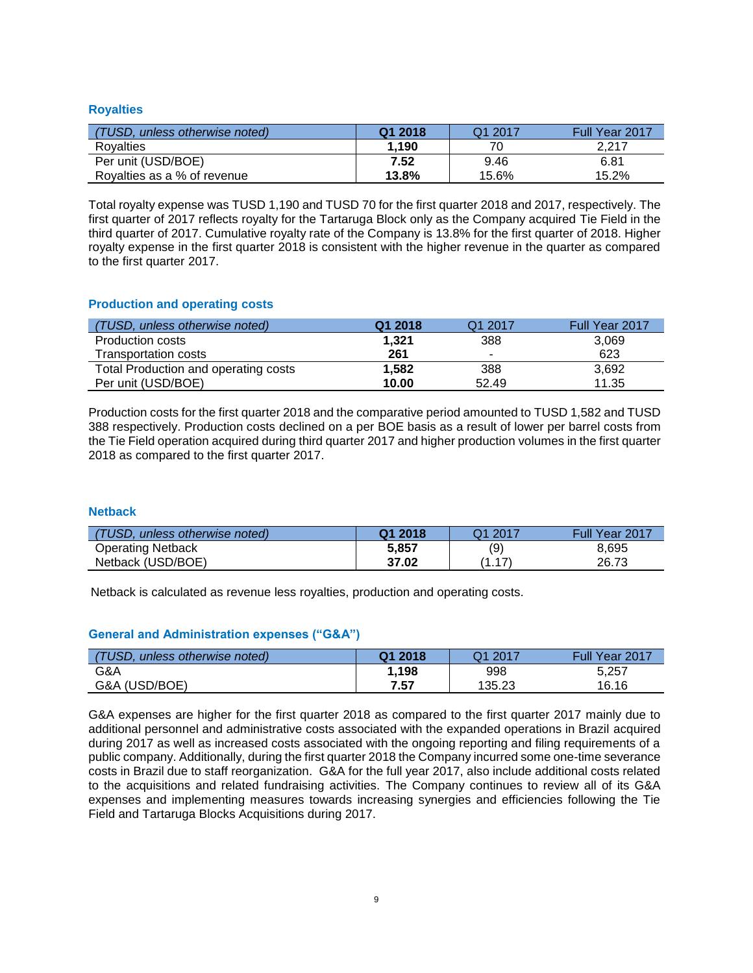# **Royalties**

| (TUSD, unless otherwise noted) | Q1 2018 | Q1 2017 | Full Year 2017 |
|--------------------------------|---------|---------|----------------|
| Rovalties                      | 1.190   |         | 2.217          |
| Per unit (USD/BOE)             | 7.52    | 9.46    | 6.81           |
| Rovalties as a % of revenue    | 13.8%   | 15.6%   | 15.2%          |

Total royalty expense was TUSD 1,190 and TUSD 70 for the first quarter 2018 and 2017, respectively. The first quarter of 2017 reflects royalty for the Tartaruga Block only as the Company acquired Tie Field in the third quarter of 2017. Cumulative royalty rate of the Company is 13.8% for the first quarter of 2018. Higher royalty expense in the first quarter 2018 is consistent with the higher revenue in the quarter as compared to the first quarter 2017.

# **Production and operating costs**

| (TUSD, unless otherwise noted)       | Q1 2018 | Q1 2017                  | Full Year 2017 |
|--------------------------------------|---------|--------------------------|----------------|
| <b>Production costs</b>              | 1.321   | 388                      | 3,069          |
| Transportation costs                 | 261     | $\overline{\phantom{a}}$ | 623            |
| Total Production and operating costs | 1.582   | 388                      | 3,692          |
| Per unit (USD/BOE)                   | 10.00   | 52.49                    | 11.35          |

Production costs for the first quarter 2018 and the comparative period amounted to TUSD 1,582 and TUSD 388 respectively. Production costs declined on a per BOE basis as a result of lower per barrel costs from the Tie Field operation acquired during third quarter 2017 and higher production volumes in the first quarter 2018 as compared to the first quarter 2017.

# **Netback**

| (TUSD, unless otherwise noted) | Q1 2018 | $-2017$       | Full Year 2017 |
|--------------------------------|---------|---------------|----------------|
| <b>Operating Netback</b>       | 5.857   | (9)           | 8.695          |
| Netback (USD/BOE)              | 37.02   | 47'<br>Ί<br>. | 26.73          |

Netback is calculated as revenue less royalties, production and operating costs.

# **General and Administration expenses ("G&A")**

| 'TUSD.<br>unless otherwise noted) | Q1 2018 | $-2017$<br>า1 | Full/<br>Year 2017 |
|-----------------------------------|---------|---------------|--------------------|
| G&A                               | l.198   | 998           | 5,257              |
| G&A (USD/BOE)                     | 7.57    | 135.23        | 16.16              |

G&A expenses are higher for the first quarter 2018 as compared to the first quarter 2017 mainly due to additional personnel and administrative costs associated with the expanded operations in Brazil acquired during 2017 as well as increased costs associated with the ongoing reporting and filing requirements of a public company. Additionally, during the first quarter 2018 the Company incurred some one-time severance costs in Brazil due to staff reorganization. G&A for the full year 2017, also include additional costs related to the acquisitions and related fundraising activities. The Company continues to review all of its G&A expenses and implementing measures towards increasing synergies and efficiencies following the Tie Field and Tartaruga Blocks Acquisitions during 2017.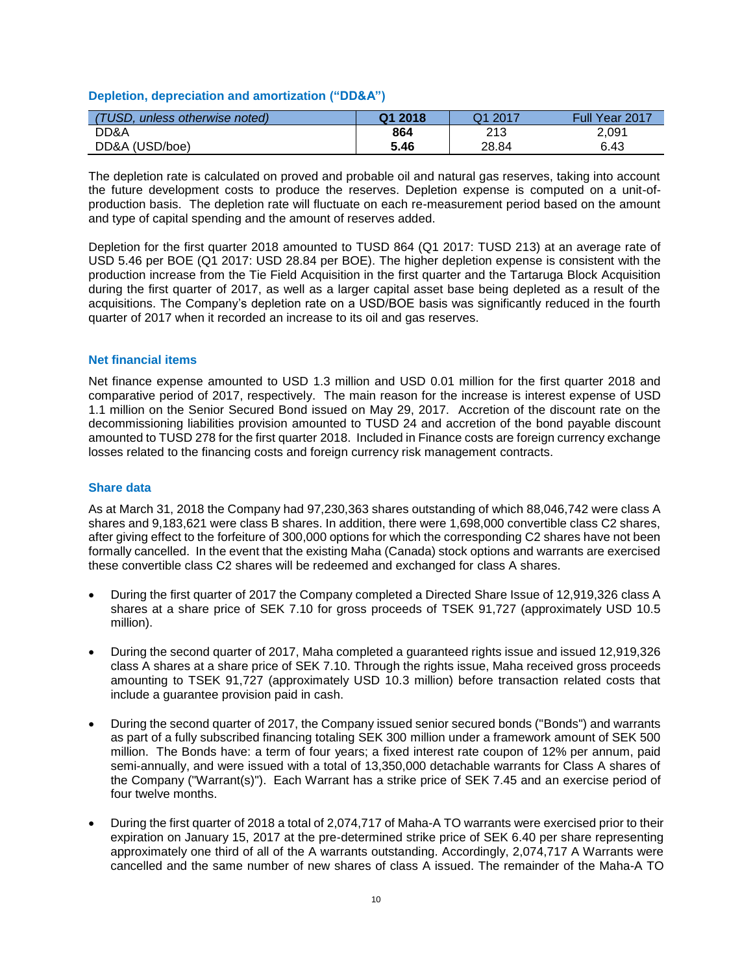## **Depletion, depreciation and amortization ("DD&A")**

| <b>(TUSD,</b><br>unless otherwise noted) | Q1 2018 | 2017<br>11. | Full Year 2017 |
|------------------------------------------|---------|-------------|----------------|
| DD&A                                     | 864     | 213         | 2,091          |
| DD&A (USD/boe)                           | 5.46    | 28.84       | 6.43           |

The depletion rate is calculated on proved and probable oil and natural gas reserves, taking into account the future development costs to produce the reserves. Depletion expense is computed on a unit-ofproduction basis. The depletion rate will fluctuate on each re-measurement period based on the amount and type of capital spending and the amount of reserves added.

Depletion for the first quarter 2018 amounted to TUSD 864 (Q1 2017: TUSD 213) at an average rate of USD 5.46 per BOE (Q1 2017: USD 28.84 per BOE). The higher depletion expense is consistent with the production increase from the Tie Field Acquisition in the first quarter and the Tartaruga Block Acquisition during the first quarter of 2017, as well as a larger capital asset base being depleted as a result of the acquisitions. The Company's depletion rate on a USD/BOE basis was significantly reduced in the fourth quarter of 2017 when it recorded an increase to its oil and gas reserves.

#### **Net financial items**

Net finance expense amounted to USD 1.3 million and USD 0.01 million for the first quarter 2018 and comparative period of 2017, respectively. The main reason for the increase is interest expense of USD 1.1 million on the Senior Secured Bond issued on May 29, 2017. Accretion of the discount rate on the decommissioning liabilities provision amounted to TUSD 24 and accretion of the bond payable discount amounted to TUSD 278 for the first quarter 2018. Included in Finance costs are foreign currency exchange losses related to the financing costs and foreign currency risk management contracts.

#### **Share data**

As at March 31, 2018 the Company had 97,230,363 shares outstanding of which 88,046,742 were class A shares and 9,183,621 were class B shares. In addition, there were 1,698,000 convertible class C2 shares, after giving effect to the forfeiture of 300,000 options for which the corresponding C2 shares have not been formally cancelled. In the event that the existing Maha (Canada) stock options and warrants are exercised these convertible class C2 shares will be redeemed and exchanged for class A shares.

- During the first quarter of 2017 the Company completed a Directed Share Issue of 12,919,326 class A shares at a share price of SEK 7.10 for gross proceeds of TSEK 91,727 (approximately USD 10.5 million).
- During the second quarter of 2017, Maha completed a guaranteed rights issue and issued 12,919,326 class A shares at a share price of SEK 7.10. Through the rights issue, Maha received gross proceeds amounting to TSEK 91,727 (approximately USD 10.3 million) before transaction related costs that include a guarantee provision paid in cash.
- During the second quarter of 2017, the Company issued senior secured bonds ("Bonds") and warrants as part of a fully subscribed financing totaling SEK 300 million under a framework amount of SEK 500 million. The Bonds have: a term of four years; a fixed interest rate coupon of 12% per annum, paid semi-annually, and were issued with a total of 13,350,000 detachable warrants for Class A shares of the Company ("Warrant(s)"). Each Warrant has a strike price of SEK 7.45 and an exercise period of four twelve months.
- During the first quarter of 2018 a total of 2,074,717 of Maha-A TO warrants were exercised prior to their expiration on January 15, 2017 at the pre-determined strike price of SEK 6.40 per share representing approximately one third of all of the A warrants outstanding. Accordingly, 2,074,717 A Warrants were cancelled and the same number of new shares of class A issued. The remainder of the Maha-A TO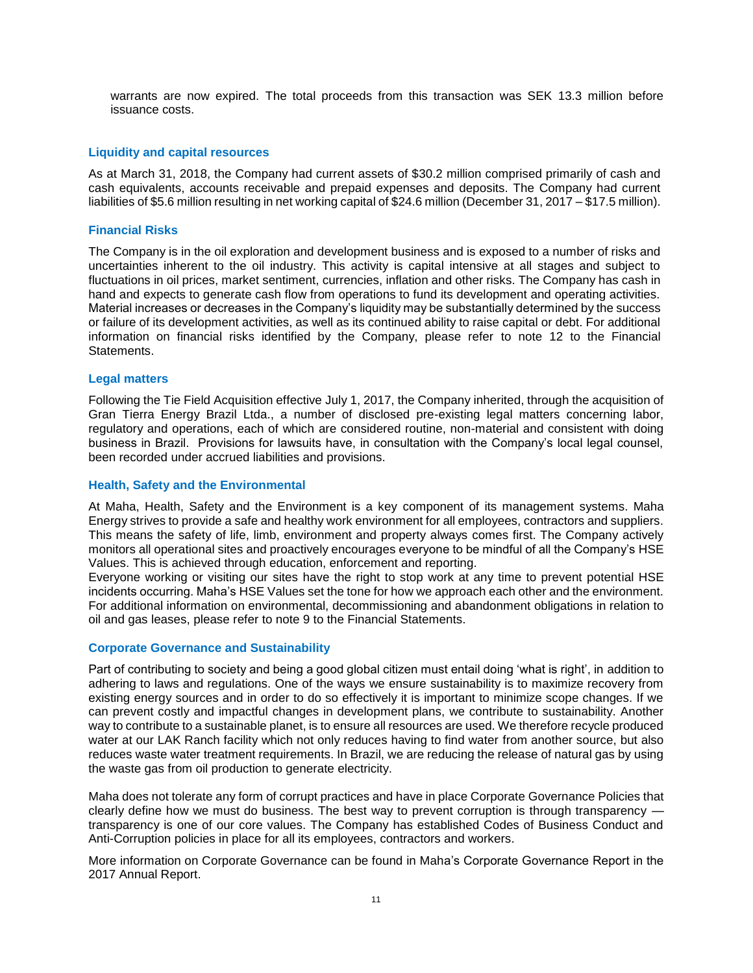warrants are now expired. The total proceeds from this transaction was SEK 13.3 million before issuance costs.

#### **Liquidity and capital resources**

As at March 31, 2018, the Company had current assets of \$30.2 million comprised primarily of cash and cash equivalents, accounts receivable and prepaid expenses and deposits. The Company had current liabilities of \$5.6 million resulting in net working capital of \$24.6 million (December 31, 2017 – \$17.5 million).

#### **Financial Risks**

The Company is in the oil exploration and development business and is exposed to a number of risks and uncertainties inherent to the oil industry. This activity is capital intensive at all stages and subject to fluctuations in oil prices, market sentiment, currencies, inflation and other risks. The Company has cash in hand and expects to generate cash flow from operations to fund its development and operating activities. Material increases or decreases in the Company's liquidity may be substantially determined by the success or failure of its development activities, as well as its continued ability to raise capital or debt. For additional information on financial risks identified by the Company, please refer to note 12 to the Financial Statements.

#### **Legal matters**

Following the Tie Field Acquisition effective July 1, 2017, the Company inherited, through the acquisition of Gran Tierra Energy Brazil Ltda., a number of disclosed pre-existing legal matters concerning labor, regulatory and operations, each of which are considered routine, non-material and consistent with doing business in Brazil. Provisions for lawsuits have, in consultation with the Company's local legal counsel, been recorded under accrued liabilities and provisions.

#### **Health, Safety and the Environmental**

At Maha, Health, Safety and the Environment is a key component of its management systems. Maha Energy strives to provide a safe and healthy work environment for all employees, contractors and suppliers. This means the safety of life, limb, environment and property always comes first. The Company actively monitors all operational sites and proactively encourages everyone to be mindful of all the Company's HSE Values. This is achieved through education, enforcement and reporting.

Everyone working or visiting our sites have the right to stop work at any time to prevent potential HSE incidents occurring. Maha's HSE Values set the tone for how we approach each other and the environment. For additional information on environmental, decommissioning and abandonment obligations in relation to oil and gas leases, please refer to note 9 to the Financial Statements.

#### **Corporate Governance and Sustainability**

Part of contributing to society and being a good global citizen must entail doing 'what is right', in addition to adhering to laws and regulations. One of the ways we ensure sustainability is to maximize recovery from existing energy sources and in order to do so effectively it is important to minimize scope changes. If we can prevent costly and impactful changes in development plans, we contribute to sustainability. Another way to contribute to a sustainable planet, is to ensure all resources are used. We therefore recycle produced water at our LAK Ranch facility which not only reduces having to find water from another source, but also reduces waste water treatment requirements. In Brazil, we are reducing the release of natural gas by using the waste gas from oil production to generate electricity.

Maha does not tolerate any form of corrupt practices and have in place Corporate Governance Policies that clearly define how we must do business. The best way to prevent corruption is through transparency transparency is one of our core values. The Company has established Codes of Business Conduct and Anti-Corruption policies in place for all its employees, contractors and workers.

More information on Corporate Governance can be found in Maha's Corporate Governance Report in the 2017 Annual Report.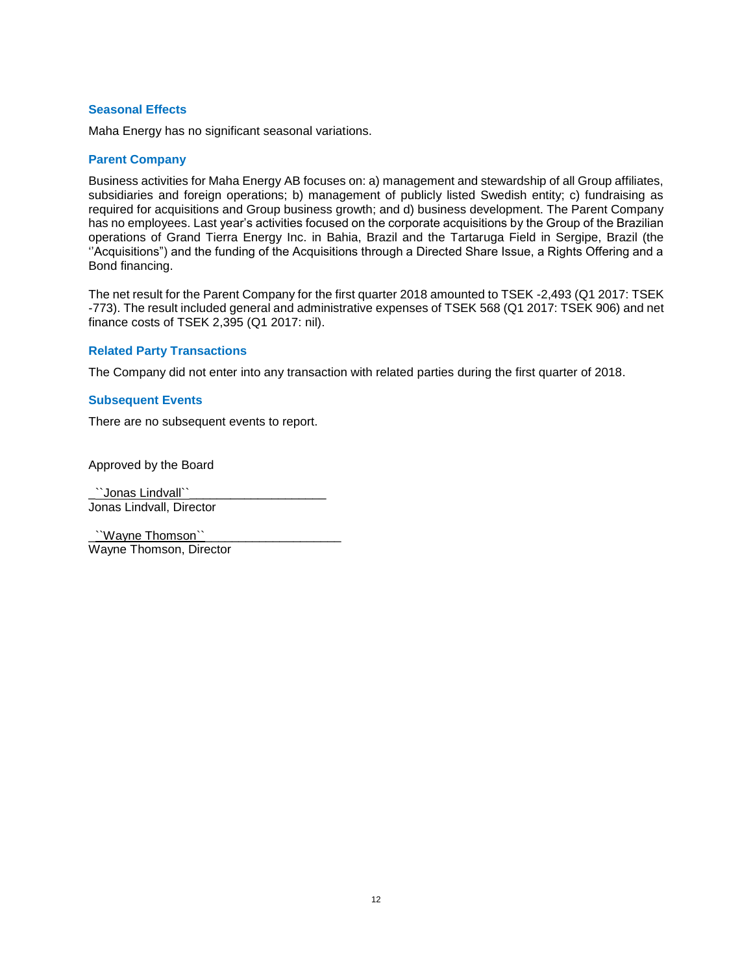# **Seasonal Effects**

Maha Energy has no significant seasonal variations.

#### **Parent Company**

Business activities for Maha Energy AB focuses on: a) management and stewardship of all Group affiliates, subsidiaries and foreign operations; b) management of publicly listed Swedish entity; c) fundraising as required for acquisitions and Group business growth; and d) business development. The Parent Company has no employees. Last year's activities focused on the corporate acquisitions by the Group of the Brazilian operations of Grand Tierra Energy Inc. in Bahia, Brazil and the Tartaruga Field in Sergipe, Brazil (the ''Acquisitions") and the funding of the Acquisitions through a Directed Share Issue, a Rights Offering and a Bond financing.

The net result for the Parent Company for the first quarter 2018 amounted to TSEK -2,493 (Q1 2017: TSEK -773). The result included general and administrative expenses of TSEK 568 (Q1 2017: TSEK 906) and net finance costs of TSEK 2,395 (Q1 2017: nil).

#### **Related Party Transactions**

The Company did not enter into any transaction with related parties during the first quarter of 2018.

#### **Subsequent Events**

There are no subsequent events to report.

Approved by the Board

\_``Jonas Lindvall``\_\_\_\_\_\_\_\_\_\_\_\_\_\_\_\_\_\_\_\_ Jonas Lindvall, Director

``Wayne Thomson``\_ Wayne Thomson, Director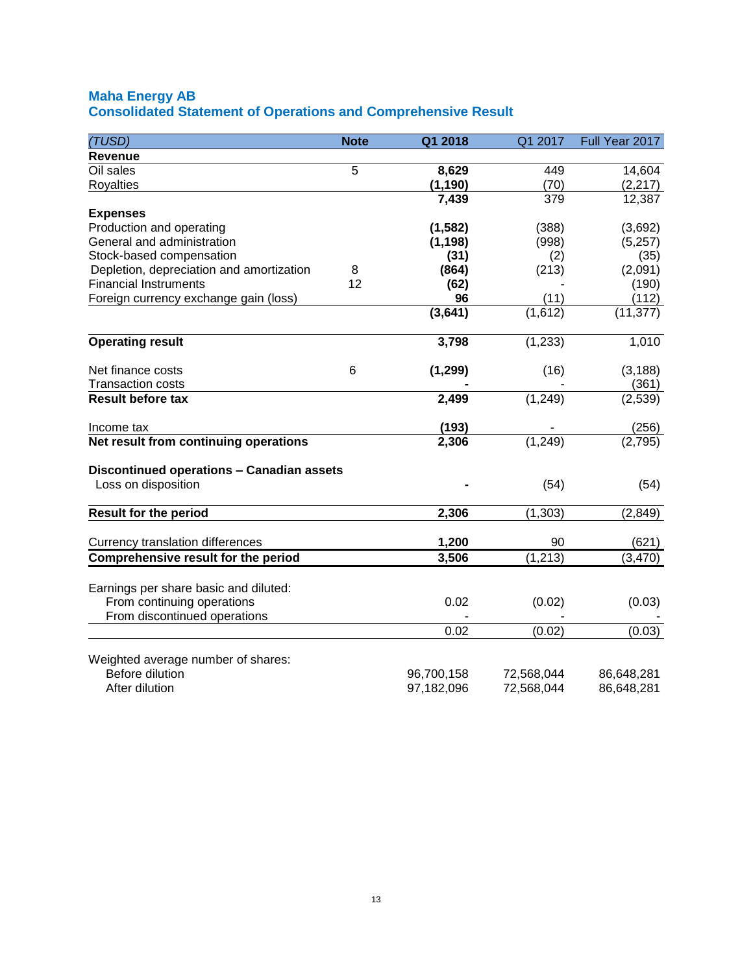# **Maha Energy AB Consolidated Statement of Operations and Comprehensive Result**

| (TUSD)                                                           | <b>Note</b> | Q1 2018    | Q1 2017    | Full Year 2017 |
|------------------------------------------------------------------|-------------|------------|------------|----------------|
| <b>Revenue</b>                                                   |             |            |            |                |
| Oil sales                                                        | 5           | 8,629      | 449        | 14,604         |
| <b>Royalties</b>                                                 |             | (1, 190)   | (70)       | (2, 217)       |
|                                                                  |             | 7,439      | 379        | 12,387         |
| <b>Expenses</b>                                                  |             |            |            |                |
| Production and operating                                         |             | (1, 582)   | (388)      | (3,692)        |
| General and administration                                       |             | (1, 198)   | (998)      | (5,257)        |
| Stock-based compensation                                         |             | (31)       | (2)        | (35)           |
| Depletion, depreciation and amortization                         | 8           | (864)      | (213)      | (2,091)        |
| <b>Financial Instruments</b>                                     | 12          | (62)       |            | (190)          |
| Foreign currency exchange gain (loss)                            |             | 96         | (11)       | (112)          |
|                                                                  |             | (3,641)    | (1,612)    | (11, 377)      |
| <b>Operating result</b>                                          |             | 3,798      | (1, 233)   | 1,010          |
| Net finance costs                                                | 6           | (1, 299)   | (16)       | (3, 188)       |
| <b>Transaction costs</b>                                         |             |            |            | (361)          |
| <b>Result before tax</b>                                         |             | 2,499      | (1, 249)   | (2,539)        |
| Income tax                                                       |             | (193)      |            | (256)          |
| Net result from continuing operations                            |             | 2,306      | (1, 249)   | (2,795)        |
| Discontinued operations - Canadian assets<br>Loss on disposition |             |            | (54)       | (54)           |
| <b>Result for the period</b>                                     |             | 2,306      | (1, 303)   | (2, 849)       |
|                                                                  |             |            |            |                |
| Currency translation differences                                 |             | 1,200      | 90         | (621)          |
| Comprehensive result for the period                              |             | 3,506      | (1, 213)   | (3, 470)       |
| Earnings per share basic and diluted:                            |             |            |            |                |
| From continuing operations                                       |             | 0.02       | (0.02)     | (0.03)         |
| From discontinued operations                                     |             |            |            |                |
|                                                                  |             | 0.02       | (0.02)     | (0.03)         |
| Weighted average number of shares:                               |             |            |            |                |
| Before dilution                                                  |             | 96,700,158 | 72,568,044 | 86,648,281     |
| After dilution                                                   |             | 97,182,096 | 72,568,044 | 86,648,281     |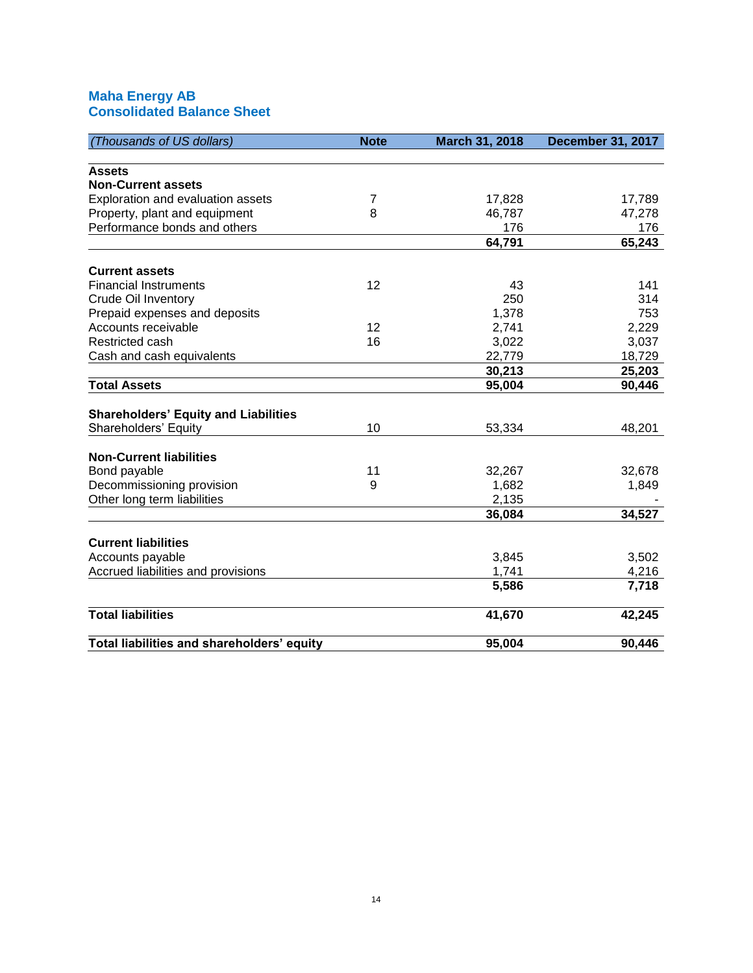# **Maha Energy AB Consolidated Balance Sheet**

| (Thousands of US dollars)                   | <b>Note</b> | March 31, 2018 | <b>December 31, 2017</b> |
|---------------------------------------------|-------------|----------------|--------------------------|
|                                             |             |                |                          |
| <b>Assets</b><br><b>Non-Current assets</b>  |             |                |                          |
|                                             | 7           |                |                          |
| Exploration and evaluation assets           | 8           | 17,828         | 17,789                   |
| Property, plant and equipment               |             | 46,787         | 47,278                   |
| Performance bonds and others                |             | 176            | 176                      |
|                                             |             | 64,791         | 65,243                   |
| <b>Current assets</b>                       |             |                |                          |
| <b>Financial Instruments</b>                | 12          | 43             | 141                      |
| <b>Crude Oil Inventory</b>                  |             | 250            | 314                      |
| Prepaid expenses and deposits               |             | 1,378          | 753                      |
| Accounts receivable                         | 12          | 2,741          | 2,229                    |
| Restricted cash                             | 16          | 3,022          | 3,037                    |
| Cash and cash equivalents                   |             | 22,779         | 18,729                   |
|                                             |             | 30,213         | 25,203                   |
| <b>Total Assets</b>                         |             | 95,004         | 90,446                   |
|                                             |             |                |                          |
| <b>Shareholders' Equity and Liabilities</b> |             |                |                          |
| Shareholders' Equity                        | 10          | 53,334         | 48,201                   |
|                                             |             |                |                          |
| <b>Non-Current liabilities</b>              |             |                |                          |
| Bond payable                                | 11          | 32,267         | 32,678                   |
| Decommissioning provision                   | 9           | 1,682          | 1,849                    |
| Other long term liabilities                 |             | 2,135          |                          |
|                                             |             | 36,084         | 34,527                   |
|                                             |             |                |                          |
| <b>Current liabilities</b>                  |             |                |                          |
| Accounts payable                            |             | 3,845          | 3,502                    |
| Accrued liabilities and provisions          |             | 1,741          | 4,216                    |
|                                             |             | 5,586          | 7,718                    |
| <b>Total liabilities</b>                    |             | 41,670         | 42,245                   |
|                                             |             |                |                          |
| Total liabilities and shareholders' equity  |             | 95,004         | 90,446                   |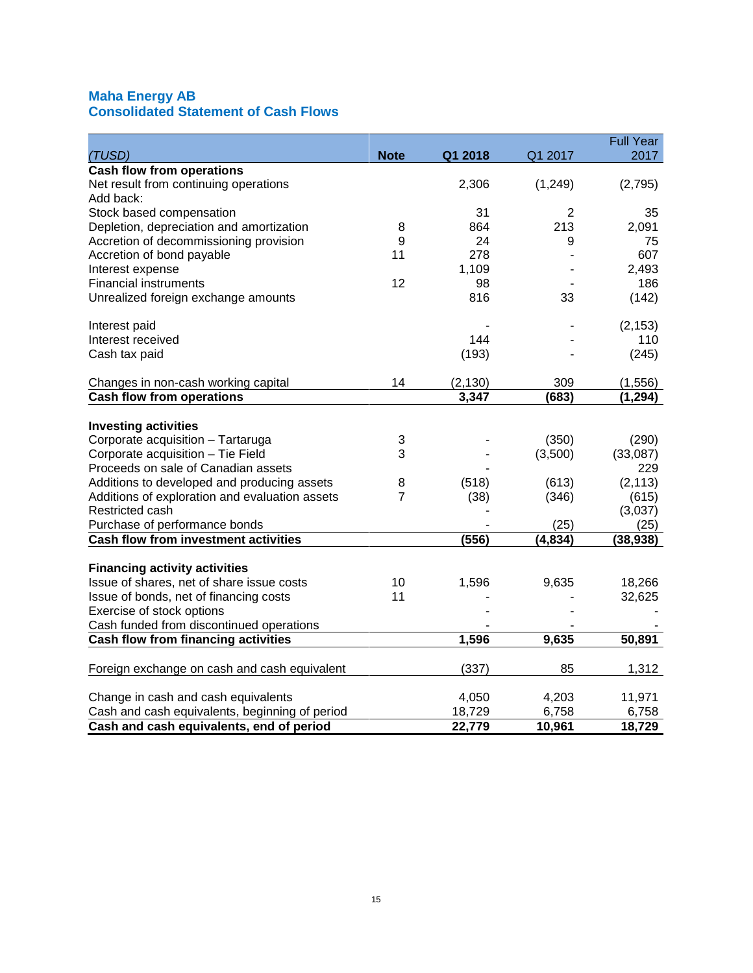# **Maha Energy AB Consolidated Statement of Cash Flows**

|                                                |                |          |                | <b>Full Year</b> |
|------------------------------------------------|----------------|----------|----------------|------------------|
| (TUSD)                                         | <b>Note</b>    | Q1 2018  | Q1 2017        | 2017             |
| <b>Cash flow from operations</b>               |                |          |                |                  |
| Net result from continuing operations          |                | 2,306    | (1, 249)       | (2,795)          |
| Add back:                                      |                |          |                |                  |
| Stock based compensation                       |                | 31       | $\overline{2}$ | 35               |
| Depletion, depreciation and amortization       | 8              | 864      | 213            | 2,091            |
| Accretion of decommissioning provision         | 9              | 24       | 9              | 75               |
| Accretion of bond payable                      | 11             | 278      |                | 607              |
| Interest expense                               |                | 1,109    |                | 2,493            |
| <b>Financial instruments</b>                   | 12             | 98       |                | 186              |
| Unrealized foreign exchange amounts            |                | 816      | 33             | (142)            |
| Interest paid                                  |                |          |                | (2, 153)         |
| Interest received                              |                | 144      |                | 110              |
| Cash tax paid                                  |                | (193)    |                | (245)            |
| Changes in non-cash working capital            | 14             | (2, 130) | 309            | (1, 556)         |
| <b>Cash flow from operations</b>               |                | 3,347    | (683)          | (1, 294)         |
|                                                |                |          |                |                  |
| <b>Investing activities</b>                    |                |          |                |                  |
| Corporate acquisition - Tartaruga              | 3              |          | (350)          | (290)            |
| Corporate acquisition - Tie Field              | 3              |          | (3,500)        | (33,087)         |
| Proceeds on sale of Canadian assets            |                |          |                | 229              |
| Additions to developed and producing assets    | 8              | (518)    | (613)          | (2, 113)         |
| Additions of exploration and evaluation assets | $\overline{7}$ | (38)     | (346)          | (615)            |
| Restricted cash                                |                |          |                | (3,037)          |
| Purchase of performance bonds                  |                |          | (25)           | (25)             |
| <b>Cash flow from investment activities</b>    |                | (556)    | (4, 834)       | (38, 938)        |
| <b>Financing activity activities</b>           |                |          |                |                  |
| Issue of shares, net of share issue costs      | 10             | 1,596    | 9,635          | 18,266           |
| Issue of bonds, net of financing costs         | 11             |          |                | 32,625           |
| Exercise of stock options                      |                |          |                |                  |
| Cash funded from discontinued operations       |                |          |                |                  |
| Cash flow from financing activities            |                | 1,596    | 9,635          | 50,891           |
|                                                |                |          |                |                  |
| Foreign exchange on cash and cash equivalent   |                | (337)    | 85             | 1,312            |
| Change in cash and cash equivalents            |                | 4,050    | 4,203          | 11,971           |
| Cash and cash equivalents, beginning of period |                | 18,729   | 6,758          | 6,758            |
| Cash and cash equivalents, end of period       |                | 22,779   | 10,961         | 18,729           |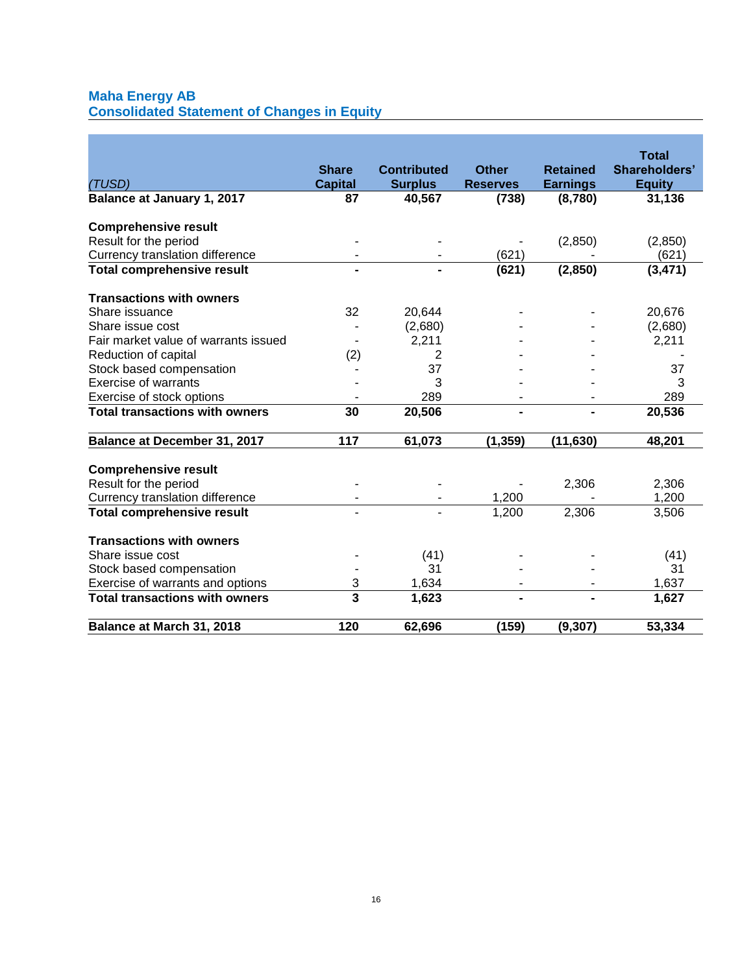# **Maha Energy AB**

**Consolidated Statement of Changes in Equity**

|                                       |                         |                    |                 |                 | <b>Total</b>  |
|---------------------------------------|-------------------------|--------------------|-----------------|-----------------|---------------|
|                                       | <b>Share</b>            | <b>Contributed</b> | <b>Other</b>    | <b>Retained</b> | Shareholders' |
| (TUSD)                                | <b>Capital</b>          | <b>Surplus</b>     | <b>Reserves</b> | <b>Earnings</b> | <b>Equity</b> |
| Balance at January 1, 2017            | 87                      | 40,567             | (738)           | (8,780)         | 31,136        |
| <b>Comprehensive result</b>           |                         |                    |                 |                 |               |
| Result for the period                 |                         |                    |                 | (2,850)         | (2,850)       |
| Currency translation difference       |                         |                    | (621)           |                 | (621)         |
| <b>Total comprehensive result</b>     |                         |                    | (621)           | (2, 850)        | (3, 471)      |
|                                       |                         |                    |                 |                 |               |
| <b>Transactions with owners</b>       |                         |                    |                 |                 |               |
| Share issuance                        | 32                      | 20,644             |                 |                 | 20,676        |
| Share issue cost                      |                         | (2,680)            |                 |                 | (2,680)       |
| Fair market value of warrants issued  |                         | 2,211              |                 |                 | 2,211         |
| Reduction of capital                  | (2)                     | 2                  |                 |                 |               |
| Stock based compensation              |                         | 37                 |                 |                 | 37            |
| <b>Exercise of warrants</b>           |                         | 3                  |                 |                 | 3             |
| Exercise of stock options             |                         | 289                |                 |                 | 289           |
| <b>Total transactions with owners</b> | 30                      | 20,506             |                 |                 | 20,536        |
| Balance at December 31, 2017          | 117                     | 61,073             | (1, 359)        | (11, 630)       | 48,201        |
| <b>Comprehensive result</b>           |                         |                    |                 |                 |               |
| Result for the period                 |                         |                    |                 |                 | 2,306         |
| Currency translation difference       |                         |                    | 1,200           | 2,306           | 1,200         |
|                                       |                         |                    |                 |                 |               |
| <b>Total comprehensive result</b>     |                         |                    | 1,200           | 2,306           | 3,506         |
| <b>Transactions with owners</b>       |                         |                    |                 |                 |               |
| Share issue cost                      |                         | (41)               |                 |                 | (41)          |
| Stock based compensation              |                         | 31                 |                 |                 | 31            |
| Exercise of warrants and options      | 3                       | 1,634              |                 |                 | 1,637         |
| <b>Total transactions with owners</b> | $\overline{\mathbf{3}}$ | 1,623              |                 |                 | 1,627         |
| Balance at March 31, 2018             | 120                     | 62,696             | (159)           | (9, 307)        | 53,334        |
|                                       |                         |                    |                 |                 |               |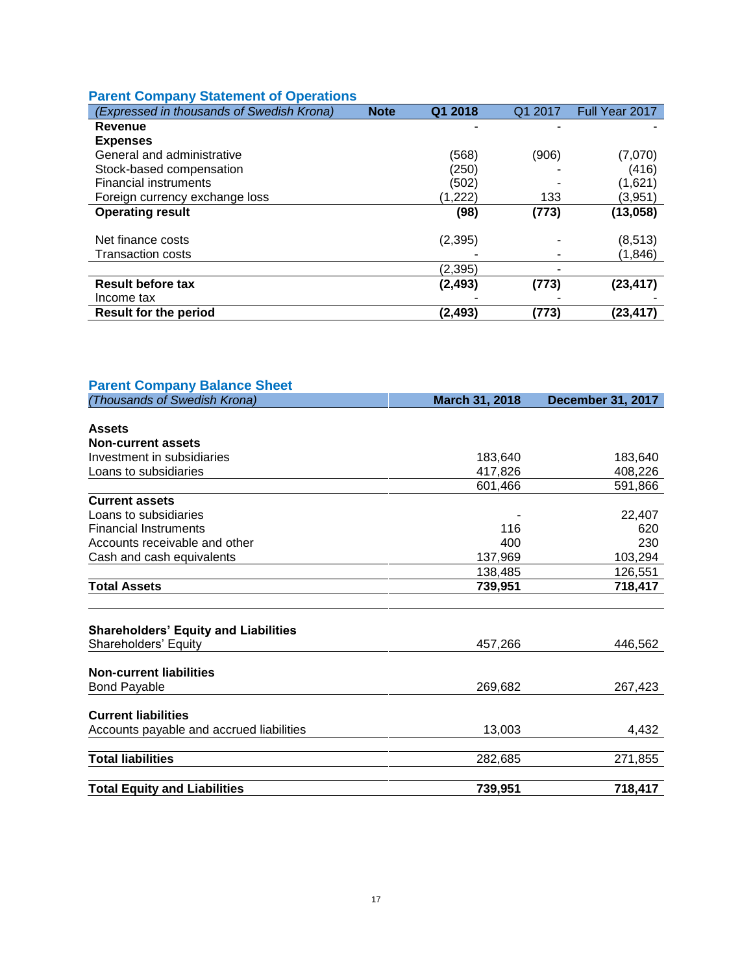# **Parent Company Statement of Operations**

| (Expressed in thousands of Swedish Krona) | <b>Note</b> | Q1 2018  | Q1 2017 | Full Year 2017 |
|-------------------------------------------|-------------|----------|---------|----------------|
| Revenue                                   |             |          |         |                |
| <b>Expenses</b>                           |             |          |         |                |
| General and administrative                |             | (568)    | (906)   | (7,070)        |
| Stock-based compensation                  |             | (250)    |         | (416)          |
| <b>Financial instruments</b>              |             | (502)    |         | (1,621)        |
| Foreign currency exchange loss            |             | (1,222)  | 133     | (3,951)        |
| <b>Operating result</b>                   |             | (98)     | (773)   | (13,058)       |
|                                           |             |          |         |                |
| Net finance costs                         |             | (2, 395) |         | (8, 513)       |
| <b>Transaction costs</b>                  |             |          |         | (1,846)        |
|                                           |             | (2,395)  |         |                |
| <b>Result before tax</b>                  |             | (2,493)  | (773)   | (23, 417)      |
| Income tax                                |             |          |         |                |
| <b>Result for the period</b>              |             | (2, 493) | (773)   | (23,417)       |

| <b>Parent Company Balance Sheet</b>         |                |                          |
|---------------------------------------------|----------------|--------------------------|
| (Thousands of Swedish Krona)                | March 31, 2018 | <b>December 31, 2017</b> |
|                                             |                |                          |
| <b>Assets</b>                               |                |                          |
| <b>Non-current assets</b>                   |                |                          |
| Investment in subsidiaries                  | 183,640        | 183,640                  |
| Loans to subsidiaries                       | 417,826        | 408,226                  |
|                                             | 601,466        | 591,866                  |
| <b>Current assets</b>                       |                |                          |
| Loans to subsidiaries                       |                | 22,407                   |
| <b>Financial Instruments</b>                | 116            | 620                      |
| Accounts receivable and other               | 400            | 230                      |
| Cash and cash equivalents                   | 137,969        | 103,294                  |
|                                             | 138,485        | 126,551                  |
| <b>Total Assets</b>                         | 739,951        | 718,417                  |
|                                             |                |                          |
| <b>Shareholders' Equity and Liabilities</b> |                |                          |
| Shareholders' Equity                        | 457,266        | 446,562                  |
|                                             |                |                          |
| <b>Non-current liabilities</b>              |                |                          |
| <b>Bond Payable</b>                         | 269,682        | 267,423                  |
| <b>Current liabilities</b>                  |                |                          |
|                                             |                |                          |
| Accounts payable and accrued liabilities    | 13,003         | 4,432                    |
| <b>Total liabilities</b>                    | 282,685        | 271,855                  |
|                                             |                |                          |
| <b>Total Equity and Liabilities</b>         | 739,951        | 718,417                  |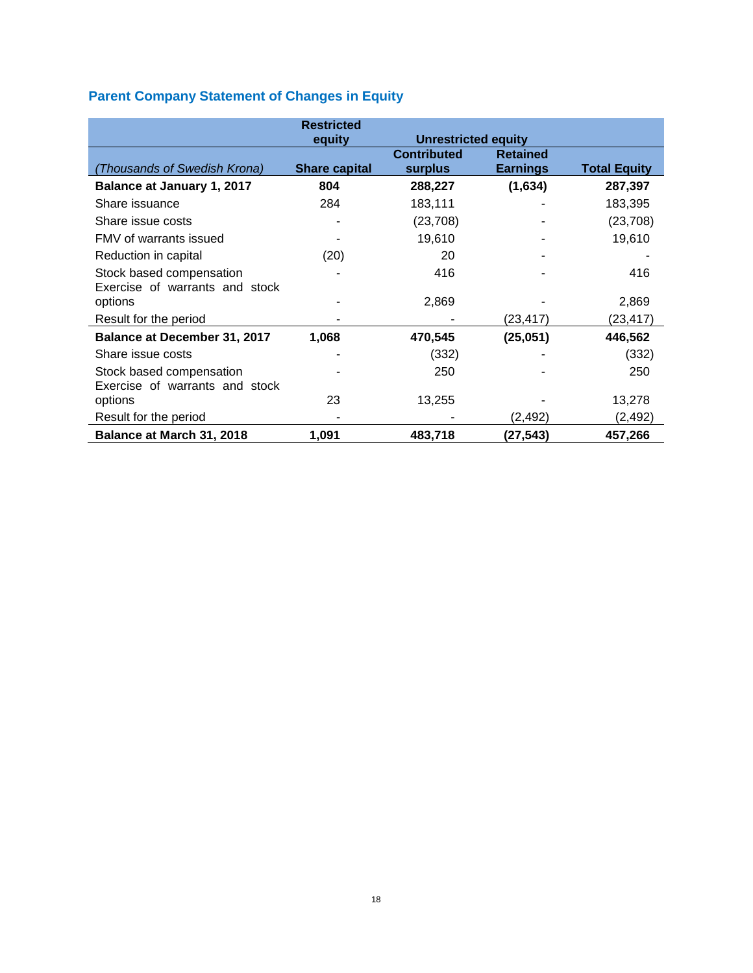# **Parent Company Statement of Changes in Equity**

|                                     | <b>Restricted</b>    |                            |                 |                     |
|-------------------------------------|----------------------|----------------------------|-----------------|---------------------|
|                                     | equity               | <b>Unrestricted equity</b> |                 |                     |
|                                     |                      | <b>Contributed</b>         | <b>Retained</b> |                     |
| (Thousands of Swedish Krona)        | <b>Share capital</b> | <b>surplus</b>             | <b>Earnings</b> | <b>Total Equity</b> |
| Balance at January 1, 2017          | 804                  | 288,227                    | (1,634)         | 287,397             |
| Share issuance                      | 284                  | 183,111                    |                 | 183,395             |
| Share issue costs                   |                      | (23, 708)                  |                 | (23, 708)           |
| FMV of warrants issued              |                      | 19,610                     |                 | 19,610              |
| Reduction in capital                | (20)                 | 20                         |                 |                     |
| Stock based compensation            |                      | 416                        |                 | 416                 |
| Exercise of warrants and stock      |                      |                            |                 |                     |
| options                             |                      | 2,869                      |                 | 2,869               |
| Result for the period               |                      |                            | (23, 417)       | (23,417)            |
| <b>Balance at December 31, 2017</b> | 1,068                | 470,545                    | (25,051)        | 446,562             |
| Share issue costs                   |                      | (332)                      |                 | (332)               |
| Stock based compensation            |                      | 250                        |                 | 250                 |
| Exercise of warrants and stock      |                      |                            |                 |                     |
| options                             | 23                   | 13,255                     |                 | 13,278              |
| Result for the period               |                      |                            | (2, 492)        | (2, 492)            |
| Balance at March 31, 2018           | 1,091                | 483,718                    | (27, 543)       | 457,266             |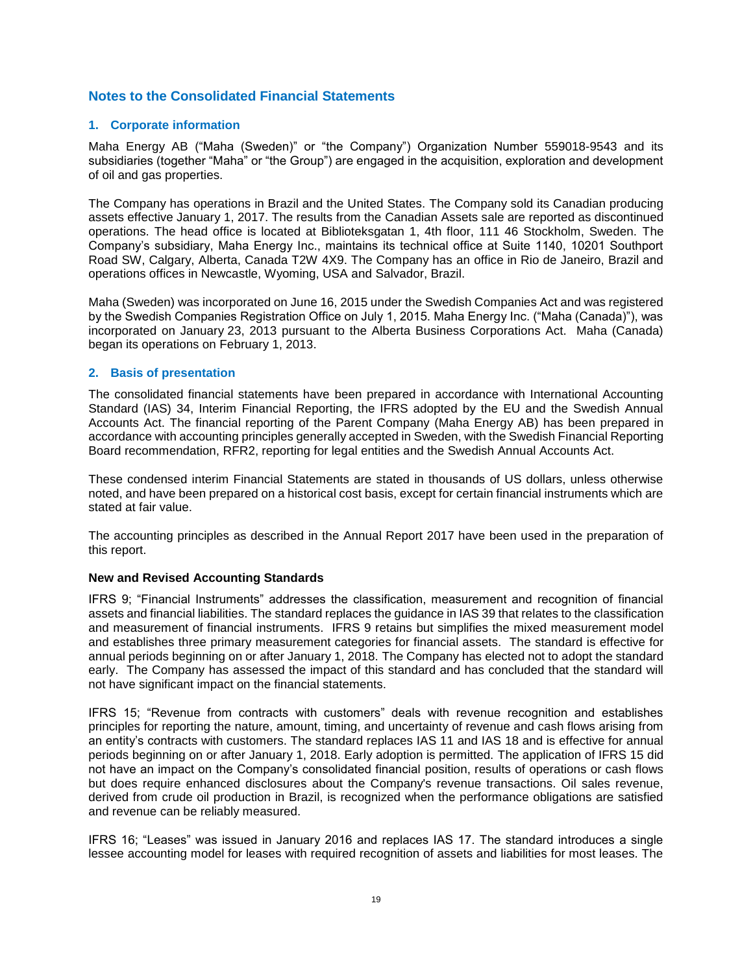# **Notes to the Consolidated Financial Statements**

# **1. Corporate information**

Maha Energy AB ("Maha (Sweden)" or "the Company") Organization Number 559018-9543 and its subsidiaries (together "Maha" or "the Group") are engaged in the acquisition, exploration and development of oil and gas properties.

The Company has operations in Brazil and the United States. The Company sold its Canadian producing assets effective January 1, 2017. The results from the Canadian Assets sale are reported as discontinued operations. The head office is located at Biblioteksgatan 1, 4th floor, 111 46 Stockholm, Sweden. The Company's subsidiary, Maha Energy Inc., maintains its technical office at Suite 1140, 10201 Southport Road SW, Calgary, Alberta, Canada T2W 4X9. The Company has an office in Rio de Janeiro, Brazil and operations offices in Newcastle, Wyoming, USA and Salvador, Brazil.

Maha (Sweden) was incorporated on June 16, 2015 under the Swedish Companies Act and was registered by the Swedish Companies Registration Office on July 1, 2015. Maha Energy Inc. ("Maha (Canada)"), was incorporated on January 23, 2013 pursuant to the Alberta Business Corporations Act. Maha (Canada) began its operations on February 1, 2013.

# **2. Basis of presentation**

The consolidated financial statements have been prepared in accordance with International Accounting Standard (IAS) 34, Interim Financial Reporting, the IFRS adopted by the EU and the Swedish Annual Accounts Act. The financial reporting of the Parent Company (Maha Energy AB) has been prepared in accordance with accounting principles generally accepted in Sweden, with the Swedish Financial Reporting Board recommendation, RFR2, reporting for legal entities and the Swedish Annual Accounts Act.

These condensed interim Financial Statements are stated in thousands of US dollars, unless otherwise noted, and have been prepared on a historical cost basis, except for certain financial instruments which are stated at fair value.

The accounting principles as described in the Annual Report 2017 have been used in the preparation of this report.

# **New and Revised Accounting Standards**

IFRS 9; "Financial Instruments" addresses the classification, measurement and recognition of financial assets and financial liabilities. The standard replaces the guidance in IAS 39 that relates to the classification and measurement of financial instruments. IFRS 9 retains but simplifies the mixed measurement model and establishes three primary measurement categories for financial assets. The standard is effective for annual periods beginning on or after January 1, 2018. The Company has elected not to adopt the standard early. The Company has assessed the impact of this standard and has concluded that the standard will not have significant impact on the financial statements.

IFRS 15; "Revenue from contracts with customers" deals with revenue recognition and establishes principles for reporting the nature, amount, timing, and uncertainty of revenue and cash flows arising from an entity's contracts with customers. The standard replaces IAS 11 and IAS 18 and is effective for annual periods beginning on or after January 1, 2018. Early adoption is permitted. The application of IFRS 15 did not have an impact on the Company's consolidated financial position, results of operations or cash flows but does require enhanced disclosures about the Company's revenue transactions. Oil sales revenue, derived from crude oil production in Brazil, is recognized when the performance obligations are satisfied and revenue can be reliably measured.

IFRS 16; "Leases" was issued in January 2016 and replaces IAS 17. The standard introduces a single lessee accounting model for leases with required recognition of assets and liabilities for most leases. The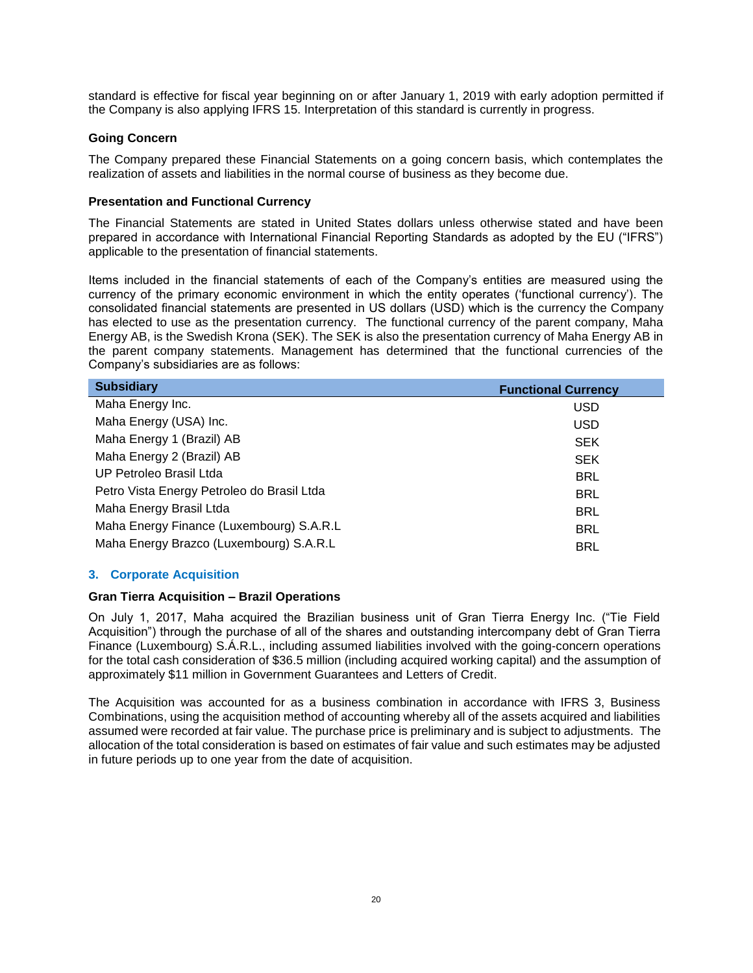standard is effective for fiscal year beginning on or after January 1, 2019 with early adoption permitted if the Company is also applying IFRS 15. Interpretation of this standard is currently in progress.

# **Going Concern**

The Company prepared these Financial Statements on a going concern basis, which contemplates the realization of assets and liabilities in the normal course of business as they become due.

# **Presentation and Functional Currency**

The Financial Statements are stated in United States dollars unless otherwise stated and have been prepared in accordance with International Financial Reporting Standards as adopted by the EU ("IFRS") applicable to the presentation of financial statements.

Items included in the financial statements of each of the Company's entities are measured using the currency of the primary economic environment in which the entity operates ('functional currency'). The consolidated financial statements are presented in US dollars (USD) which is the currency the Company has elected to use as the presentation currency. The functional currency of the parent company, Maha Energy AB, is the Swedish Krona (SEK). The SEK is also the presentation currency of Maha Energy AB in the parent company statements. Management has determined that the functional currencies of the Company's subsidiaries are as follows:

| <b>Subsidiary</b>                          | <b>Functional Currency</b> |
|--------------------------------------------|----------------------------|
| Maha Energy Inc.                           | <b>USD</b>                 |
| Maha Energy (USA) Inc.                     | <b>USD</b>                 |
| Maha Energy 1 (Brazil) AB                  | <b>SEK</b>                 |
| Maha Energy 2 (Brazil) AB                  | <b>SEK</b>                 |
| UP Petroleo Brasil Ltda                    | <b>BRL</b>                 |
| Petro Vista Energy Petroleo do Brasil Ltda | <b>BRL</b>                 |
| Maha Energy Brasil Ltda                    | <b>BRL</b>                 |
| Maha Energy Finance (Luxembourg) S.A.R.L   | <b>BRL</b>                 |
| Maha Energy Brazco (Luxembourg) S.A.R.L    | <b>BRL</b>                 |
|                                            |                            |

# **3. Corporate Acquisition**

# **Gran Tierra Acquisition – Brazil Operations**

On July 1, 2017, Maha acquired the Brazilian business unit of Gran Tierra Energy Inc. ("Tie Field Acquisition") through the purchase of all of the shares and outstanding intercompany debt of Gran Tierra Finance (Luxembourg) S.Á.R.L., including assumed liabilities involved with the going-concern operations for the total cash consideration of \$36.5 million (including acquired working capital) and the assumption of approximately \$11 million in Government Guarantees and Letters of Credit.

The Acquisition was accounted for as a business combination in accordance with IFRS 3, Business Combinations, using the acquisition method of accounting whereby all of the assets acquired and liabilities assumed were recorded at fair value. The purchase price is preliminary and is subject to adjustments. The allocation of the total consideration is based on estimates of fair value and such estimates may be adjusted in future periods up to one year from the date of acquisition.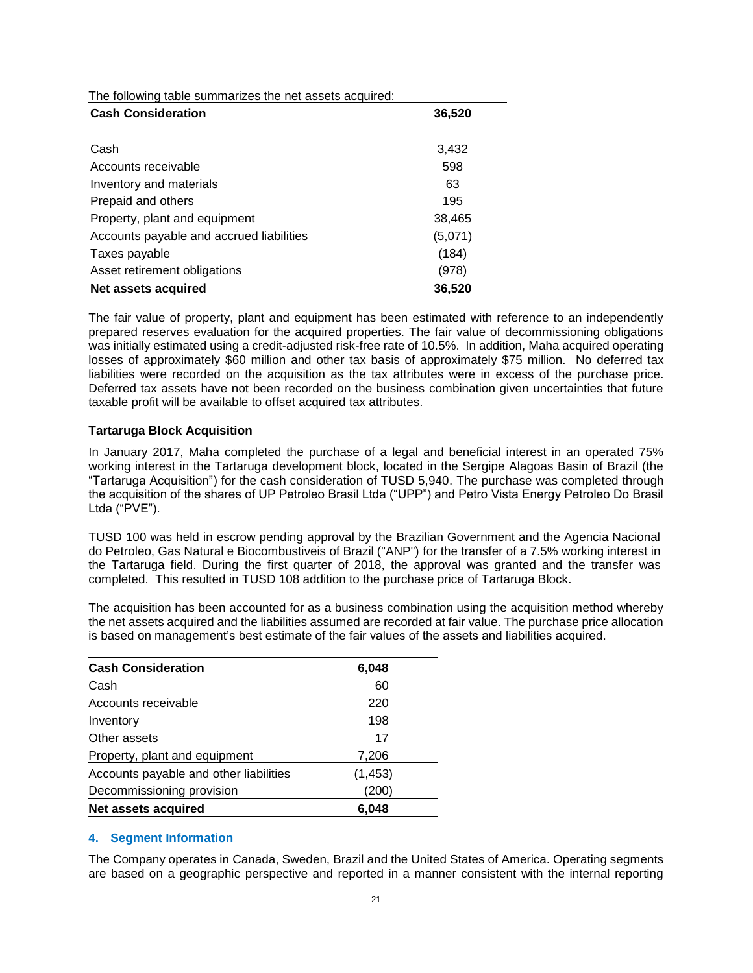The following table summarizes the net assets acquired:

| <b>Cash Consideration</b>                | 36,520  |
|------------------------------------------|---------|
|                                          |         |
| Cash                                     | 3,432   |
| Accounts receivable                      | 598     |
| Inventory and materials                  | 63      |
| Prepaid and others                       | 195     |
| Property, plant and equipment            | 38,465  |
| Accounts payable and accrued liabilities | (5,071) |
| Taxes payable                            | (184)   |
| Asset retirement obligations             | (978)   |
| Net assets acquired                      | 36,520  |

The fair value of property, plant and equipment has been estimated with reference to an independently prepared reserves evaluation for the acquired properties. The fair value of decommissioning obligations was initially estimated using a credit-adjusted risk-free rate of 10.5%. In addition, Maha acquired operating losses of approximately \$60 million and other tax basis of approximately \$75 million. No deferred tax liabilities were recorded on the acquisition as the tax attributes were in excess of the purchase price. Deferred tax assets have not been recorded on the business combination given uncertainties that future taxable profit will be available to offset acquired tax attributes.

# **Tartaruga Block Acquisition**

In January 2017, Maha completed the purchase of a legal and beneficial interest in an operated 75% working interest in the Tartaruga development block, located in the Sergipe Alagoas Basin of Brazil (the "Tartaruga Acquisition") for the cash consideration of TUSD 5,940. The purchase was completed through the acquisition of the shares of UP Petroleo Brasil Ltda ("UPP") and Petro Vista Energy Petroleo Do Brasil Ltda ("PVE").

TUSD 100 was held in escrow pending approval by the Brazilian Government and the Agencia Nacional do Petroleo, Gas Natural e Biocombustiveis of Brazil ("ANP") for the transfer of a 7.5% working interest in the Tartaruga field. During the first quarter of 2018, the approval was granted and the transfer was completed. This resulted in TUSD 108 addition to the purchase price of Tartaruga Block.

The acquisition has been accounted for as a business combination using the acquisition method whereby the net assets acquired and the liabilities assumed are recorded at fair value. The purchase price allocation is based on management's best estimate of the fair values of the assets and liabilities acquired.

| <b>Cash Consideration</b>              | 6,048    |
|----------------------------------------|----------|
| Cash                                   | 60       |
| Accounts receivable                    | 220      |
| Inventory                              | 198      |
| Other assets                           | 17       |
| Property, plant and equipment          | 7,206    |
| Accounts payable and other liabilities | (1, 453) |
| Decommissioning provision              | (200)    |
| Net assets acquired                    | 6.048    |

# **4. Segment Information**

The Company operates in Canada, Sweden, Brazil and the United States of America. Operating segments are based on a geographic perspective and reported in a manner consistent with the internal reporting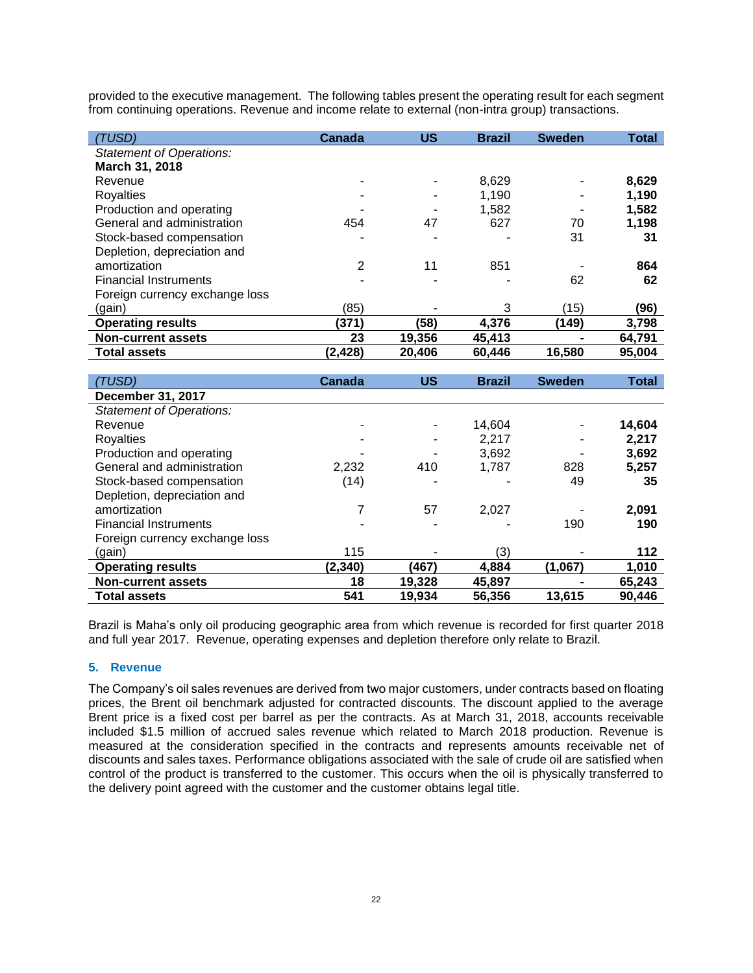provided to the executive management. The following tables present the operating result for each segment from continuing operations. Revenue and income relate to external (non-intra group) transactions.

| (TUSD)                          | <b>Canada</b> | US     | <b>Brazil</b> | <b>Sweden</b> | <b>Total</b> |
|---------------------------------|---------------|--------|---------------|---------------|--------------|
| <b>Statement of Operations:</b> |               |        |               |               |              |
| March 31, 2018                  |               |        |               |               |              |
| Revenue                         |               |        | 8,629         |               | 8,629        |
| Royalties                       |               |        | 1,190         |               | 1,190        |
| Production and operating        |               |        | 1,582         |               | 1,582        |
| General and administration      | 454           | 47     | 627           | 70            | 1,198        |
| Stock-based compensation        |               |        |               | 31            | 31           |
| Depletion, depreciation and     |               |        |               |               |              |
| amortization                    | 2             | 11     | 851           |               | 864          |
| <b>Financial Instruments</b>    |               |        |               | 62            | 62           |
| Foreign currency exchange loss  |               |        |               |               |              |
| (gain)                          | (85)          |        | 3             | (15)          | (96)         |
| <b>Operating results</b>        | (371)         | (58)   | 4,376         | (149)         | 3,798        |
| <b>Non-current assets</b>       | 23            | 19,356 | 45,413        |               | 64,791       |
| <b>Total assets</b>             | (2, 428)      | 20,406 | 60,446        | 16,580        | 95,004       |

| (TUSD)                          | Canada  | US     | <b>Brazil</b> | <b>Sweden</b> | Total  |
|---------------------------------|---------|--------|---------------|---------------|--------|
| December 31, 2017               |         |        |               |               |        |
| <b>Statement of Operations:</b> |         |        |               |               |        |
| Revenue                         |         |        | 14,604        |               | 14,604 |
| Royalties                       |         |        | 2,217         |               | 2,217  |
| Production and operating        |         |        | 3.692         |               | 3,692  |
| General and administration      | 2,232   | 410    | 1,787         | 828           | 5,257  |
| Stock-based compensation        | (14)    |        |               | 49            | 35     |
| Depletion, depreciation and     |         |        |               |               |        |
| amortization                    |         | 57     | 2,027         |               | 2,091  |
| <b>Financial Instruments</b>    |         |        |               | 190           | 190    |
| Foreign currency exchange loss  |         |        |               |               |        |
| (gain)                          | 115     |        | (3)           |               | 112    |
| <b>Operating results</b>        | (2,340) | (467)  | 4,884         | (1,067)       | 1,010  |
| <b>Non-current assets</b>       | 18      | 19,328 | 45,897        |               | 65,243 |
| <b>Total assets</b>             | 541     | 19,934 | 56,356        | 13,615        | 90,446 |

Brazil is Maha's only oil producing geographic area from which revenue is recorded for first quarter 2018 and full year 2017. Revenue, operating expenses and depletion therefore only relate to Brazil.

# **5. Revenue**

The Company's oil sales revenues are derived from two major customers, under contracts based on floating prices, the Brent oil benchmark adjusted for contracted discounts. The discount applied to the average Brent price is a fixed cost per barrel as per the contracts. As at March 31, 2018, accounts receivable included \$1.5 million of accrued sales revenue which related to March 2018 production. Revenue is measured at the consideration specified in the contracts and represents amounts receivable net of discounts and sales taxes. Performance obligations associated with the sale of crude oil are satisfied when control of the product is transferred to the customer. This occurs when the oil is physically transferred to the delivery point agreed with the customer and the customer obtains legal title.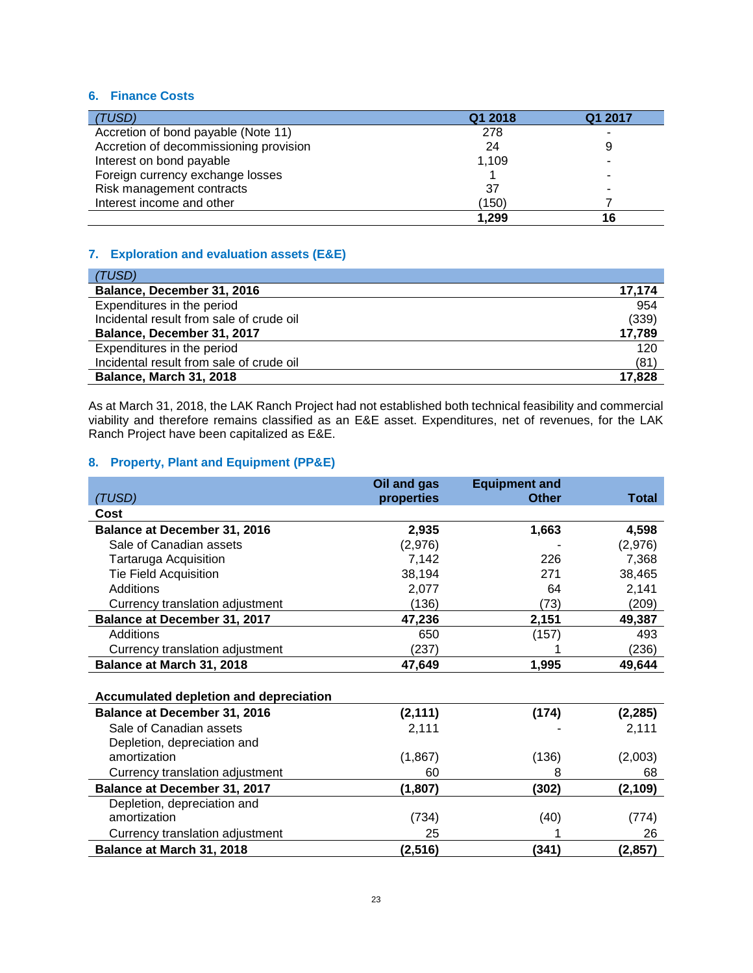# **6. Finance Costs**

| (TUSD)                                 | Q1 2018 | Q1 2017 |
|----------------------------------------|---------|---------|
| Accretion of bond payable (Note 11)    | 278     |         |
| Accretion of decommissioning provision | 24      | 9       |
| Interest on bond payable               | 1.109   |         |
| Foreign currency exchange losses       |         |         |
| Risk management contracts              | 37      |         |
| Interest income and other              | (150)   |         |
|                                        | 1,299   | 16      |

# **7. Exploration and evaluation assets (E&E)**

| (TUSD)                                   |        |
|------------------------------------------|--------|
| Balance, December 31, 2016               | 17,174 |
| Expenditures in the period               | 954    |
| Incidental result from sale of crude oil | (339)  |
| Balance, December 31, 2017               | 17,789 |
| Expenditures in the period               | 120    |
| Incidental result from sale of crude oil | (81)   |
| <b>Balance, March 31, 2018</b>           | 17,828 |

As at March 31, 2018, the LAK Ranch Project had not established both technical feasibility and commercial viability and therefore remains classified as an E&E asset. Expenditures, net of revenues, for the LAK Ranch Project have been capitalized as E&E.

# **8. Property, Plant and Equipment (PP&E)**

|                                        | Oil and gas | <b>Equipment and</b> |              |
|----------------------------------------|-------------|----------------------|--------------|
| (TUSD)                                 | properties  | <b>Other</b>         | <b>Total</b> |
| Cost                                   |             |                      |              |
| <b>Balance at December 31, 2016</b>    | 2,935       | 1,663                | 4,598        |
| Sale of Canadian assets                | (2,976)     |                      | (2,976)      |
| Tartaruga Acquisition                  | 7,142       | 226                  | 7,368        |
| <b>Tie Field Acquisition</b>           | 38,194      | 271                  | 38,465       |
| <b>Additions</b>                       | 2,077       | 64                   | 2,141        |
| Currency translation adjustment        | (136)       | (73)                 | (209)        |
| <b>Balance at December 31, 2017</b>    | 47,236      | 2,151                | 49,387       |
| Additions                              | 650         | (157)                | 493          |
| Currency translation adjustment        | (237)       |                      | (236)        |
| Balance at March 31, 2018              | 47,649      | 1,995                | 49,644       |
|                                        |             |                      |              |
| Accumulated depletion and depreciation |             |                      |              |
| Balance at December 31, 2016           | (2, 111)    | (174)                | (2, 285)     |
| Sale of Canadian assets                | 2,111       |                      | 2,111        |
| Depletion, depreciation and            |             |                      |              |
| amortization                           | (1,867)     | (136)                | (2,003)      |
| Currency translation adjustment        | 60          | 8                    | 68           |
| <b>Balance at December 31, 2017</b>    | (1, 807)    | (302)                | (2, 109)     |
| Depletion, depreciation and            |             |                      |              |
| amortization                           | (734)       | (40)                 | (774)        |
| Currency translation adjustment        | 25          |                      | 26           |
| Balance at March 31, 2018              | (2, 516)    | (341)                | (2, 857)     |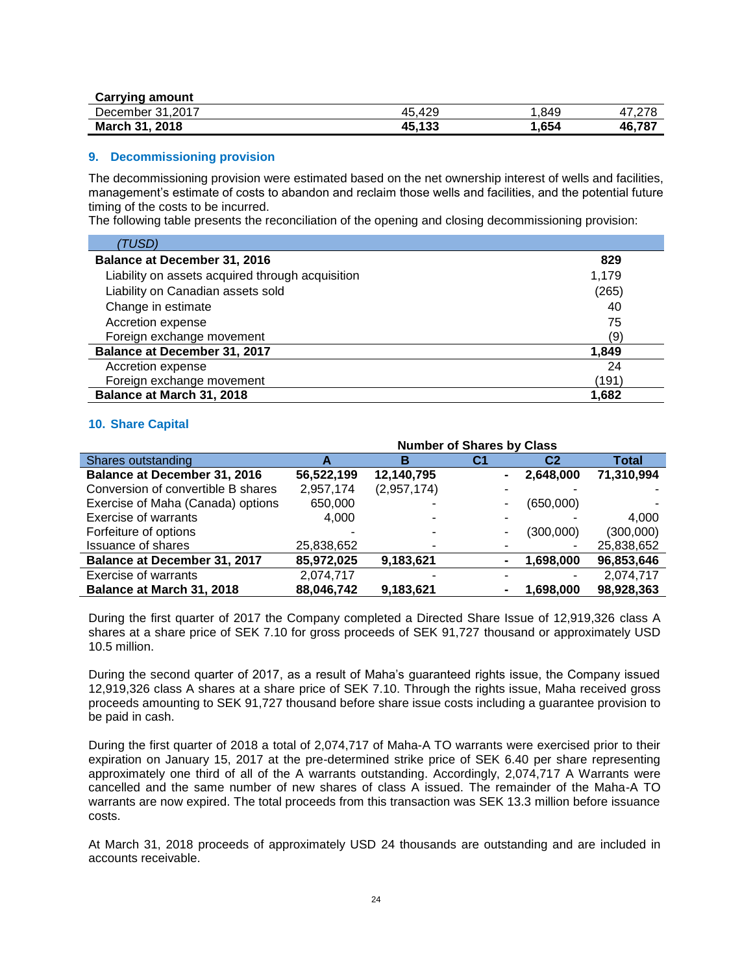| <b>Carrying amount</b> |        |      |        |
|------------------------|--------|------|--------|
| December 31,2017       | 45.429 | .849 |        |
| March 31, 2018         | 45,133 | ,654 | 46.787 |

#### **9. Decommissioning provision**

The decommissioning provision were estimated based on the net ownership interest of wells and facilities, management's estimate of costs to abandon and reclaim those wells and facilities, and the potential future timing of the costs to be incurred.

The following table presents the reconciliation of the opening and closing decommissioning provision:

| (TUSD)                                           |       |
|--------------------------------------------------|-------|
| <b>Balance at December 31, 2016</b>              | 829   |
| Liability on assets acquired through acquisition | 1,179 |
| Liability on Canadian assets sold                | (265) |
| Change in estimate                               | 40    |
| Accretion expense                                | 75    |
| Foreign exchange movement                        | (9)   |
| Balance at December 31, 2017                     | 1,849 |
| Accretion expense                                | 24    |
| Foreign exchange movement                        | (191) |
| Balance at March 31, 2018                        | 1.682 |

#### **10. Share Capital**

|                                     | <b>Number of Shares by Class</b> |             |    |           |              |
|-------------------------------------|----------------------------------|-------------|----|-----------|--------------|
| Shares outstanding                  |                                  | в           | С1 | C2        | <b>Total</b> |
| <b>Balance at December 31, 2016</b> | 56,522,199                       | 12,140,795  |    | 2,648,000 | 71,310,994   |
| Conversion of convertible B shares  | 2,957,174                        | (2,957,174) |    |           |              |
| Exercise of Maha (Canada) options   | 650,000                          |             |    | (650,000) |              |
| <b>Exercise of warrants</b>         | 4.000                            |             | ۰  |           | 4.000        |
| Forfeiture of options               |                                  |             | ۰  | (300,000) | (300,000)    |
| <b>Issuance of shares</b>           | 25,838,652                       |             |    |           | 25,838,652   |
| Balance at December 31, 2017        | 85,972,025                       | 9,183,621   |    | 1,698,000 | 96,853,646   |
| <b>Exercise of warrants</b>         | 2,074,717                        |             |    |           | 2,074,717    |
| Balance at March 31, 2018           | 88,046,742                       | 9,183,621   |    | 1,698,000 | 98,928,363   |

During the first quarter of 2017 the Company completed a Directed Share Issue of 12,919,326 class A shares at a share price of SEK 7.10 for gross proceeds of SEK 91,727 thousand or approximately USD 10.5 million.

During the second quarter of 2017, as a result of Maha's guaranteed rights issue, the Company issued 12,919,326 class A shares at a share price of SEK 7.10. Through the rights issue, Maha received gross proceeds amounting to SEK 91,727 thousand before share issue costs including a guarantee provision to be paid in cash.

During the first quarter of 2018 a total of 2,074,717 of Maha-A TO warrants were exercised prior to their expiration on January 15, 2017 at the pre-determined strike price of SEK 6.40 per share representing approximately one third of all of the A warrants outstanding. Accordingly, 2,074,717 A Warrants were cancelled and the same number of new shares of class A issued. The remainder of the Maha-A TO warrants are now expired. The total proceeds from this transaction was SEK 13.3 million before issuance costs.

At March 31, 2018 proceeds of approximately USD 24 thousands are outstanding and are included in accounts receivable.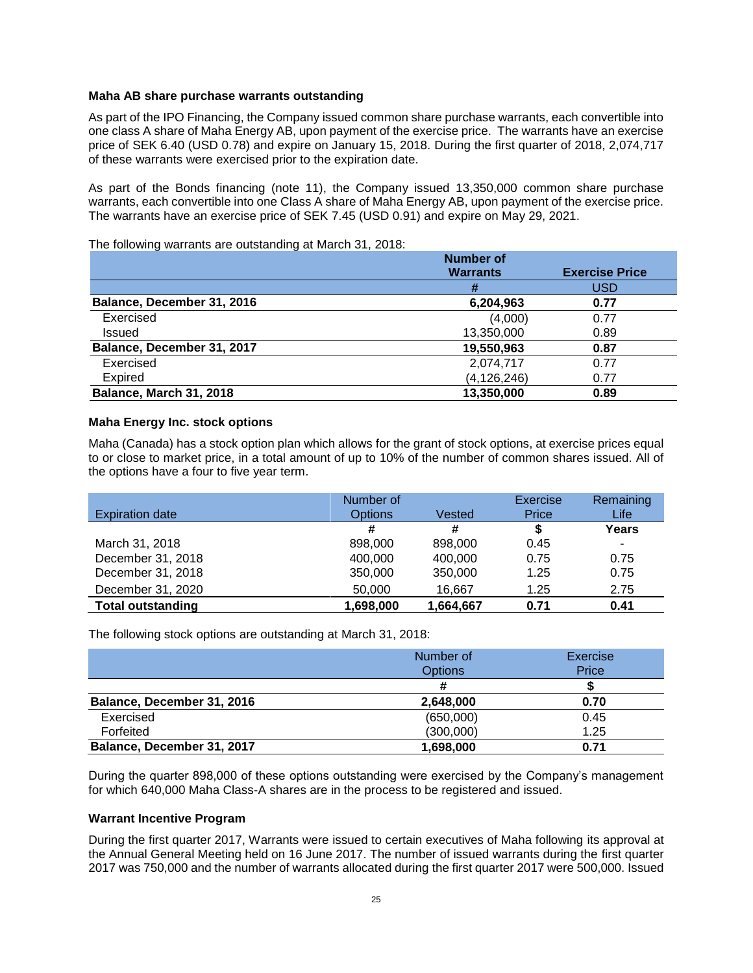# **Maha AB share purchase warrants outstanding**

As part of the IPO Financing, the Company issued common share purchase warrants, each convertible into one class A share of Maha Energy AB, upon payment of the exercise price. The warrants have an exercise price of SEK 6.40 (USD 0.78) and expire on January 15, 2018. During the first quarter of 2018, 2,074,717 of these warrants were exercised prior to the expiration date.

As part of the Bonds financing (note 11), the Company issued 13,350,000 common share purchase warrants, each convertible into one Class A share of Maha Energy AB, upon payment of the exercise price. The warrants have an exercise price of SEK 7.45 (USD 0.91) and expire on May 29, 2021.

# The following warrants are outstanding at March 31, 2018:

|                            | <b>Number of</b> |                       |
|----------------------------|------------------|-----------------------|
|                            | <b>Warrants</b>  | <b>Exercise Price</b> |
|                            | #                | <b>USD</b>            |
| Balance, December 31, 2016 | 6,204,963        | 0.77                  |
| Exercised                  | (4,000)          | 0.77                  |
| Issued                     | 13,350,000       | 0.89                  |
| Balance, December 31, 2017 | 19,550,963       | 0.87                  |
| Exercised                  | 2,074,717        | 0.77                  |
| Expired                    | (4, 126, 246)    | 0.77                  |
| Balance, March 31, 2018    | 13,350,000       | 0.89                  |

# **Maha Energy Inc. stock options**

Maha (Canada) has a stock option plan which allows for the grant of stock options, at exercise prices equal to or close to market price, in a total amount of up to 10% of the number of common shares issued. All of the options have a four to five year term.

|                          | Number of      |           | Exercise | Remaining |
|--------------------------|----------------|-----------|----------|-----------|
| <b>Expiration date</b>   | <b>Options</b> | Vested    | Price    | Life      |
|                          | #              | #         | S        | Years     |
| March 31, 2018           | 898,000        | 898,000   | 0.45     | ۰         |
| December 31, 2018        | 400,000        | 400,000   | 0.75     | 0.75      |
| December 31, 2018        | 350,000        | 350,000   | 1.25     | 0.75      |
| December 31, 2020        | 50,000         | 16.667    | 1.25     | 2.75      |
| <b>Total outstanding</b> | 1,698,000      | 1,664,667 | 0.71     | 0.41      |

The following stock options are outstanding at March 31, 2018:

|                            | Number of      | Exercise |
|----------------------------|----------------|----------|
|                            | <b>Options</b> | Price    |
|                            |                |          |
| Balance, December 31, 2016 | 2,648,000      | 0.70     |
| Exercised                  | (650,000)      | 0.45     |
| Forfeited                  | (300,000)      | 1.25     |
| Balance, December 31, 2017 | 1,698,000      | 0.71     |

During the quarter 898,000 of these options outstanding were exercised by the Company's management for which 640,000 Maha Class-A shares are in the process to be registered and issued.

# **Warrant Incentive Program**

During the first quarter 2017, Warrants were issued to certain executives of Maha following its approval at the Annual General Meeting held on 16 June 2017. The number of issued warrants during the first quarter 2017 was 750,000 and the number of warrants allocated during the first quarter 2017 were 500,000. Issued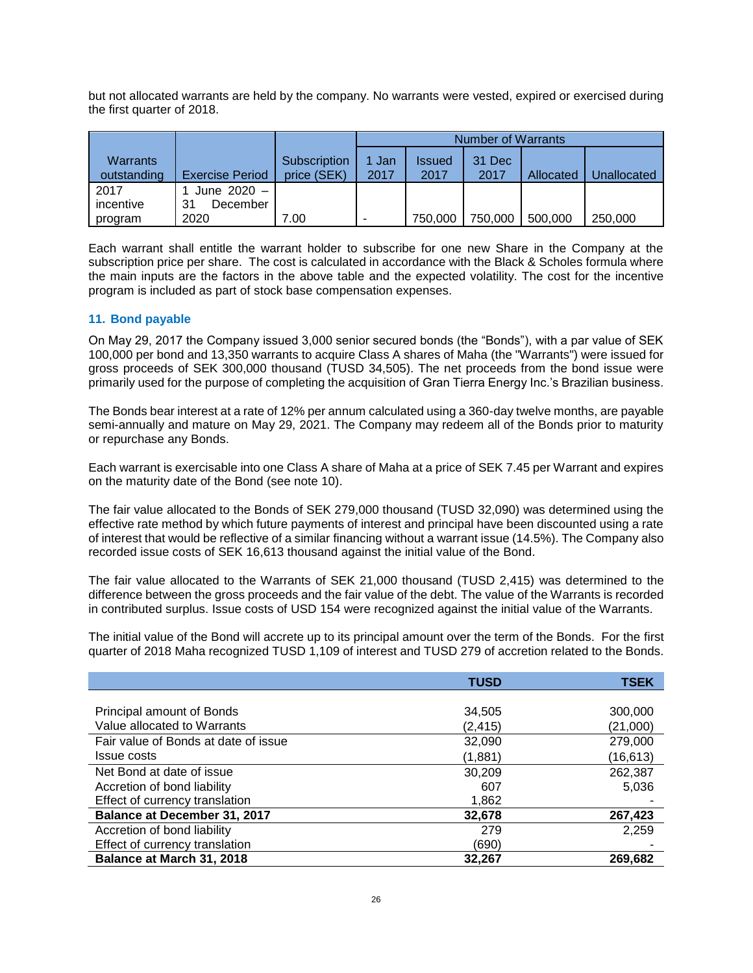but not allocated warrants are held by the company. No warrants were vested, expired or exercised during the first quarter of 2018.

|                                |                        |                             | Number of Warrants |                       |                |           |                    |
|--------------------------------|------------------------|-----------------------------|--------------------|-----------------------|----------------|-----------|--------------------|
| <b>Warrants</b><br>outstanding | <b>Exercise Period</b> | Subscription<br>price (SEK) | 1 Jan<br>2017      | <b>Issued</b><br>2017 | 31 Dec<br>2017 | Allocated | <b>Jnallocated</b> |
| 2017                           | June 2020 -            |                             |                    |                       |                |           |                    |
| incentive                      | December<br>31         |                             |                    |                       |                |           |                    |
| program                        | 2020                   | 7.00                        | -                  | 750,000               | 750,000        | 500,000   | 250,000            |

Each warrant shall entitle the warrant holder to subscribe for one new Share in the Company at the subscription price per share. The cost is calculated in accordance with the Black & Scholes formula where the main inputs are the factors in the above table and the expected volatility. The cost for the incentive program is included as part of stock base compensation expenses.

# **11. Bond payable**

On May 29, 2017 the Company issued 3,000 senior secured bonds (the "Bonds"), with a par value of SEK 100,000 per bond and 13,350 warrants to acquire Class A shares of Maha (the "Warrants") were issued for gross proceeds of SEK 300,000 thousand (TUSD 34,505). The net proceeds from the bond issue were primarily used for the purpose of completing the acquisition of Gran Tierra Energy Inc.'s Brazilian business.

The Bonds bear interest at a rate of 12% per annum calculated using a 360-day twelve months, are payable semi-annually and mature on May 29, 2021. The Company may redeem all of the Bonds prior to maturity or repurchase any Bonds.

Each warrant is exercisable into one Class A share of Maha at a price of SEK 7.45 per Warrant and expires on the maturity date of the Bond (see note 10).

The fair value allocated to the Bonds of SEK 279,000 thousand (TUSD 32,090) was determined using the effective rate method by which future payments of interest and principal have been discounted using a rate of interest that would be reflective of a similar financing without a warrant issue (14.5%). The Company also recorded issue costs of SEK 16,613 thousand against the initial value of the Bond.

The fair value allocated to the Warrants of SEK 21,000 thousand (TUSD 2,415) was determined to the difference between the gross proceeds and the fair value of the debt. The value of the Warrants is recorded in contributed surplus. Issue costs of USD 154 were recognized against the initial value of the Warrants.

The initial value of the Bond will accrete up to its principal amount over the term of the Bonds. For the first quarter of 2018 Maha recognized TUSD 1,109 of interest and TUSD 279 of accretion related to the Bonds.

|                                      | <b>TUSD</b> | <b>TSEK</b> |
|--------------------------------------|-------------|-------------|
|                                      |             |             |
| Principal amount of Bonds            | 34,505      | 300,000     |
| Value allocated to Warrants          | (2, 415)    | (21,000)    |
| Fair value of Bonds at date of issue | 32,090      | 279,000     |
| <b>Issue costs</b>                   | (1,881)     | (16,613)    |
| Net Bond at date of issue            | 30.209      | 262,387     |
| Accretion of bond liability          | 607         | 5,036       |
| Effect of currency translation       | 1,862       |             |
| <b>Balance at December 31, 2017</b>  | 32,678      | 267,423     |
| Accretion of bond liability          | 279         | 2,259       |
| Effect of currency translation       | (690)       |             |
| Balance at March 31, 2018            | 32,267      | 269,682     |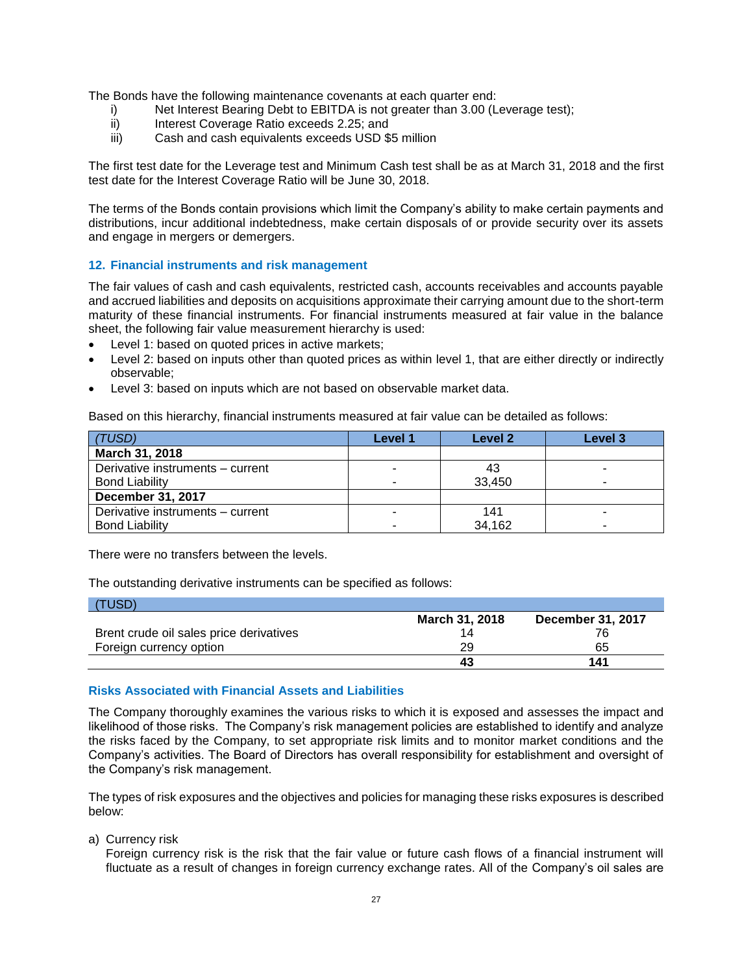The Bonds have the following maintenance covenants at each quarter end:

- i) Net Interest Bearing Debt to EBITDA is not greater than 3.00 (Leverage test);
- ii) Interest Coverage Ratio exceeds 2.25; and
- iii) Cash and cash equivalents exceeds USD \$5 million

The first test date for the Leverage test and Minimum Cash test shall be as at March 31, 2018 and the first test date for the Interest Coverage Ratio will be June 30, 2018.

The terms of the Bonds contain provisions which limit the Company's ability to make certain payments and distributions, incur additional indebtedness, make certain disposals of or provide security over its assets and engage in mergers or demergers.

#### **12. Financial instruments and risk management**

The fair values of cash and cash equivalents, restricted cash, accounts receivables and accounts payable and accrued liabilities and deposits on acquisitions approximate their carrying amount due to the short-term maturity of these financial instruments. For financial instruments measured at fair value in the balance sheet, the following fair value measurement hierarchy is used:

- Level 1: based on quoted prices in active markets;
- Level 2: based on inputs other than quoted prices as within level 1, that are either directly or indirectly observable;
- Level 3: based on inputs which are not based on observable market data.

Based on this hierarchy, financial instruments measured at fair value can be detailed as follows:

| (TUSD)                           | Level 1 | Level 2 | Level 3 |
|----------------------------------|---------|---------|---------|
| March 31, 2018                   |         |         |         |
| Derivative instruments - current |         | 43      |         |
| <b>Bond Liability</b>            |         | 33.450  |         |
| <b>December 31, 2017</b>         |         |         |         |
| Derivative instruments - current |         | 141     |         |
| <b>Bond Liability</b>            |         | 34,162  |         |

There were no transfers between the levels.

The outstanding derivative instruments can be specified as follows:

| TUSD)                                   |                       |                   |
|-----------------------------------------|-----------------------|-------------------|
|                                         | <b>March 31, 2018</b> | December 31, 2017 |
| Brent crude oil sales price derivatives |                       | 76                |
| Foreign currency option                 | 29                    | 65                |
|                                         | 43                    | 141               |

#### **Risks Associated with Financial Assets and Liabilities**

The Company thoroughly examines the various risks to which it is exposed and assesses the impact and likelihood of those risks. The Company's risk management policies are established to identify and analyze the risks faced by the Company, to set appropriate risk limits and to monitor market conditions and the Company's activities. The Board of Directors has overall responsibility for establishment and oversight of the Company's risk management.

The types of risk exposures and the objectives and policies for managing these risks exposures is described below:

a) Currency risk

Foreign currency risk is the risk that the fair value or future cash flows of a financial instrument will fluctuate as a result of changes in foreign currency exchange rates. All of the Company's oil sales are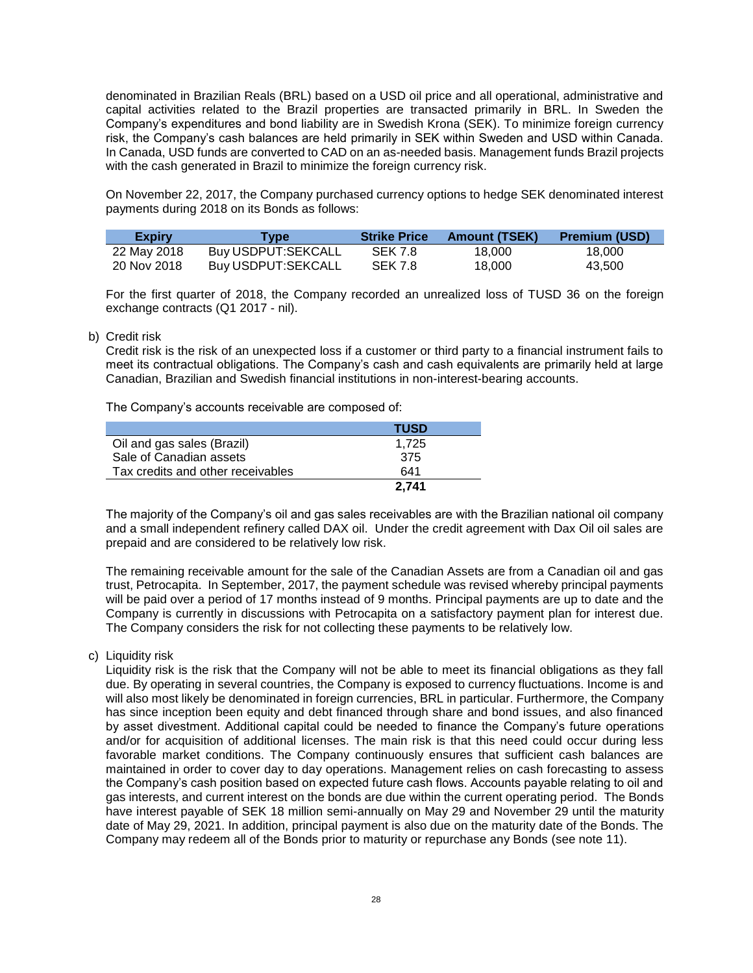denominated in Brazilian Reals (BRL) based on a USD oil price and all operational, administrative and capital activities related to the Brazil properties are transacted primarily in BRL. In Sweden the Company's expenditures and bond liability are in Swedish Krona (SEK). To minimize foreign currency risk, the Company's cash balances are held primarily in SEK within Sweden and USD within Canada. In Canada, USD funds are converted to CAD on an as-needed basis. Management funds Brazil projects with the cash generated in Brazil to minimize the foreign currency risk.

On November 22, 2017, the Company purchased currency options to hedge SEK denominated interest payments during 2018 on its Bonds as follows:

| <b>Expiry</b> | Type               | <b>Strike Price</b> | <b>Amount (TSEK)</b> | <b>Premium (USD)</b> |
|---------------|--------------------|---------------------|----------------------|----------------------|
| 22 May 2018   | Buy USDPUT:SEKCALL | <b>SEK 7.8</b>      | 18.000               | 18.000               |
| 20 Nov 2018   | Buy USDPUT:SEKCALL | <b>SEK 7.8</b>      | 18,000               | 43.500               |

For the first quarter of 2018, the Company recorded an unrealized loss of TUSD 36 on the foreign exchange contracts (Q1 2017 - nil).

#### b) Credit risk

Credit risk is the risk of an unexpected loss if a customer or third party to a financial instrument fails to meet its contractual obligations. The Company's cash and cash equivalents are primarily held at large Canadian, Brazilian and Swedish financial institutions in non-interest-bearing accounts.

The Company's accounts receivable are composed of:

|                                   | <b>TUSD</b> |
|-----------------------------------|-------------|
| Oil and gas sales (Brazil)        | 1.725       |
| Sale of Canadian assets           | 375         |
| Tax credits and other receivables | 641         |
|                                   | 2.741       |

The majority of the Company's oil and gas sales receivables are with the Brazilian national oil company and a small independent refinery called DAX oil. Under the credit agreement with Dax Oil oil sales are prepaid and are considered to be relatively low risk.

The remaining receivable amount for the sale of the Canadian Assets are from a Canadian oil and gas trust, Petrocapita. In September, 2017, the payment schedule was revised whereby principal payments will be paid over a period of 17 months instead of 9 months. Principal payments are up to date and the Company is currently in discussions with Petrocapita on a satisfactory payment plan for interest due. The Company considers the risk for not collecting these payments to be relatively low.

c) Liquidity risk

Liquidity risk is the risk that the Company will not be able to meet its financial obligations as they fall due. By operating in several countries, the Company is exposed to currency fluctuations. Income is and will also most likely be denominated in foreign currencies, BRL in particular. Furthermore, the Company has since inception been equity and debt financed through share and bond issues, and also financed by asset divestment. Additional capital could be needed to finance the Company's future operations and/or for acquisition of additional licenses. The main risk is that this need could occur during less favorable market conditions. The Company continuously ensures that sufficient cash balances are maintained in order to cover day to day operations. Management relies on cash forecasting to assess the Company's cash position based on expected future cash flows. Accounts payable relating to oil and gas interests, and current interest on the bonds are due within the current operating period. The Bonds have interest payable of SEK 18 million semi-annually on May 29 and November 29 until the maturity date of May 29, 2021. In addition, principal payment is also due on the maturity date of the Bonds. The Company may redeem all of the Bonds prior to maturity or repurchase any Bonds (see note 11).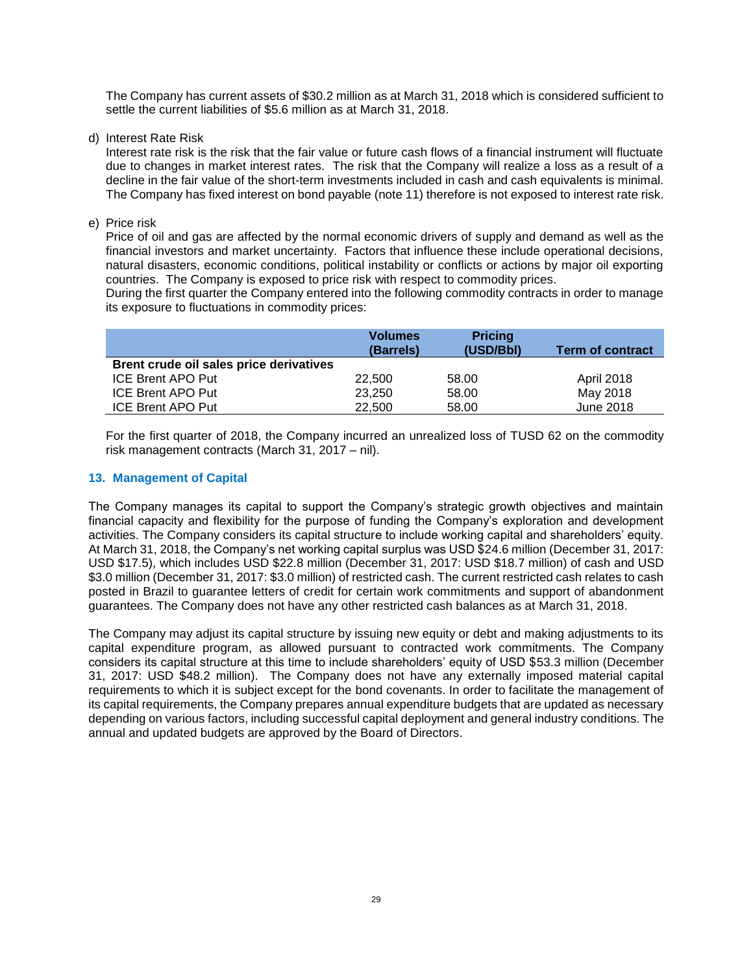The Company has current assets of \$30.2 million as at March 31, 2018 which is considered sufficient to settle the current liabilities of \$5.6 million as at March 31, 2018.

d) Interest Rate Risk

Interest rate risk is the risk that the fair value or future cash flows of a financial instrument will fluctuate due to changes in market interest rates. The risk that the Company will realize a loss as a result of a decline in the fair value of the short-term investments included in cash and cash equivalents is minimal. The Company has fixed interest on bond payable (note 11) therefore is not exposed to interest rate risk.

e) Price risk

Price of oil and gas are affected by the normal economic drivers of supply and demand as well as the financial investors and market uncertainty. Factors that influence these include operational decisions, natural disasters, economic conditions, political instability or conflicts or actions by major oil exporting countries. The Company is exposed to price risk with respect to commodity prices.

During the first quarter the Company entered into the following commodity contracts in order to manage its exposure to fluctuations in commodity prices:

|                                         | <b>Volumes</b><br>(Barrels) | <b>Pricing</b><br>(USD/Bbl) | <b>Term of contract</b> |
|-----------------------------------------|-----------------------------|-----------------------------|-------------------------|
| Brent crude oil sales price derivatives |                             |                             |                         |
| <b>ICE Brent APO Put</b>                | 22,500                      | 58.00                       | April 2018              |
| <b>ICE Brent APO Put</b>                | 23.250                      | 58.00                       | May 2018                |
| <b>ICE Brent APO Put</b>                | 22,500                      | 58.00                       | June 2018               |

For the first quarter of 2018, the Company incurred an unrealized loss of TUSD 62 on the commodity risk management contracts (March 31, 2017 – nil).

# **13. Management of Capital**

The Company manages its capital to support the Company's strategic growth objectives and maintain financial capacity and flexibility for the purpose of funding the Company's exploration and development activities. The Company considers its capital structure to include working capital and shareholders' equity. At March 31, 2018, the Company's net working capital surplus was USD \$24.6 million (December 31, 2017: USD \$17.5), which includes USD \$22.8 million (December 31, 2017: USD \$18.7 million) of cash and USD \$3.0 million (December 31, 2017: \$3.0 million) of restricted cash. The current restricted cash relates to cash posted in Brazil to guarantee letters of credit for certain work commitments and support of abandonment guarantees. The Company does not have any other restricted cash balances as at March 31, 2018.

The Company may adjust its capital structure by issuing new equity or debt and making adjustments to its capital expenditure program, as allowed pursuant to contracted work commitments. The Company considers its capital structure at this time to include shareholders' equity of USD \$53.3 million (December 31, 2017: USD \$48.2 million). The Company does not have any externally imposed material capital requirements to which it is subject except for the bond covenants. In order to facilitate the management of its capital requirements, the Company prepares annual expenditure budgets that are updated as necessary depending on various factors, including successful capital deployment and general industry conditions. The annual and updated budgets are approved by the Board of Directors.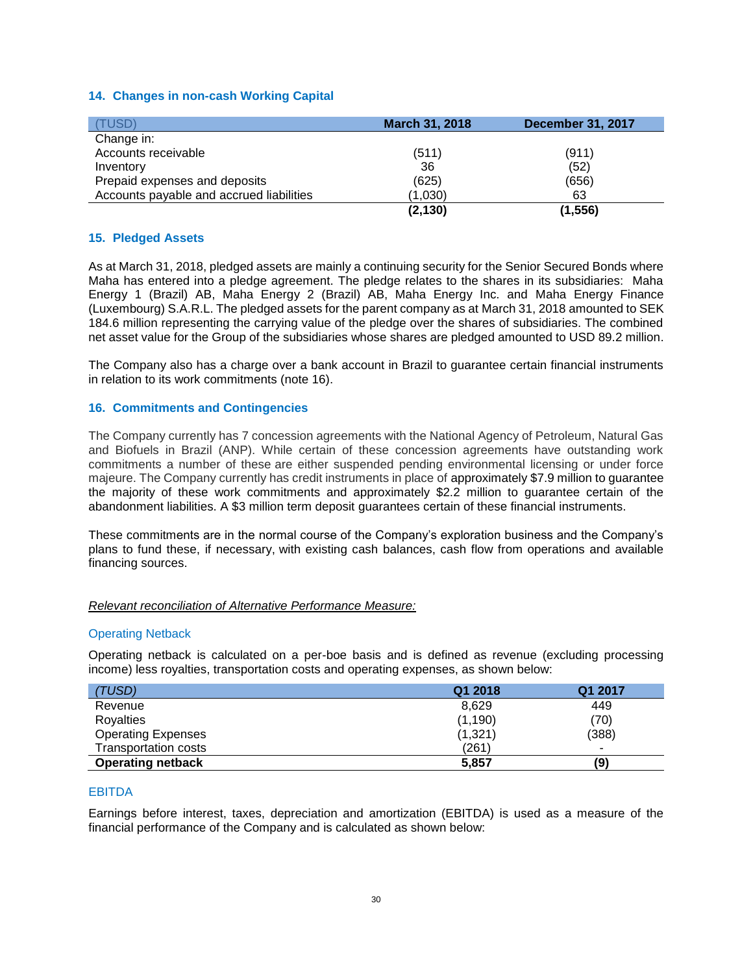# **14. Changes in non-cash Working Capital**

| (TUSD)                                   | <b>March 31, 2018</b> | <b>December 31, 2017</b> |
|------------------------------------------|-----------------------|--------------------------|
| Change in:                               |                       |                          |
| Accounts receivable                      | (511)                 | (911)                    |
| Inventory                                | 36                    | (52)                     |
| Prepaid expenses and deposits            | (625)                 | (656)                    |
| Accounts payable and accrued liabilities | (1,030)               | 63                       |
|                                          | (2, 130)              | (1, 556)                 |

# **15. Pledged Assets**

As at March 31, 2018, pledged assets are mainly a continuing security for the Senior Secured Bonds where Maha has entered into a pledge agreement. The pledge relates to the shares in its subsidiaries: Maha Energy 1 (Brazil) AB, Maha Energy 2 (Brazil) AB, Maha Energy Inc. and Maha Energy Finance (Luxembourg) S.A.R.L. The pledged assets for the parent company as at March 31, 2018 amounted to SEK 184.6 million representing the carrying value of the pledge over the shares of subsidiaries. The combined net asset value for the Group of the subsidiaries whose shares are pledged amounted to USD 89.2 million.

The Company also has a charge over a bank account in Brazil to guarantee certain financial instruments in relation to its work commitments (note 16).

# **16. Commitments and Contingencies**

The Company currently has 7 concession agreements with the National Agency of Petroleum, Natural Gas and Biofuels in Brazil (ANP). While certain of these concession agreements have outstanding work commitments a number of these are either suspended pending environmental licensing or under force majeure. The Company currently has credit instruments in place of approximately \$7.9 million to guarantee the majority of these work commitments and approximately \$2.2 million to guarantee certain of the abandonment liabilities. A \$3 million term deposit guarantees certain of these financial instruments.

These commitments are in the normal course of the Company's exploration business and the Company's plans to fund these, if necessary, with existing cash balances, cash flow from operations and available financing sources.

#### *Relevant reconciliation of Alternative Performance Measure:*

#### Operating Netback

Operating netback is calculated on a per-boe basis and is defined as revenue (excluding processing income) less royalties, transportation costs and operating expenses, as shown below:

| (TUSD)                      | Q1 2018  | Q1 2017                  |
|-----------------------------|----------|--------------------------|
| Revenue                     | 8.629    | 449                      |
| Royalties                   | (1, 190) | (70)                     |
| <b>Operating Expenses</b>   | (1, 321) | (388)                    |
| <b>Transportation costs</b> | (261)    | $\overline{\phantom{a}}$ |
| <b>Operating netback</b>    | 5,857    | (9)                      |

#### EBITDA

Earnings before interest, taxes, depreciation and amortization (EBITDA) is used as a measure of the financial performance of the Company and is calculated as shown below: